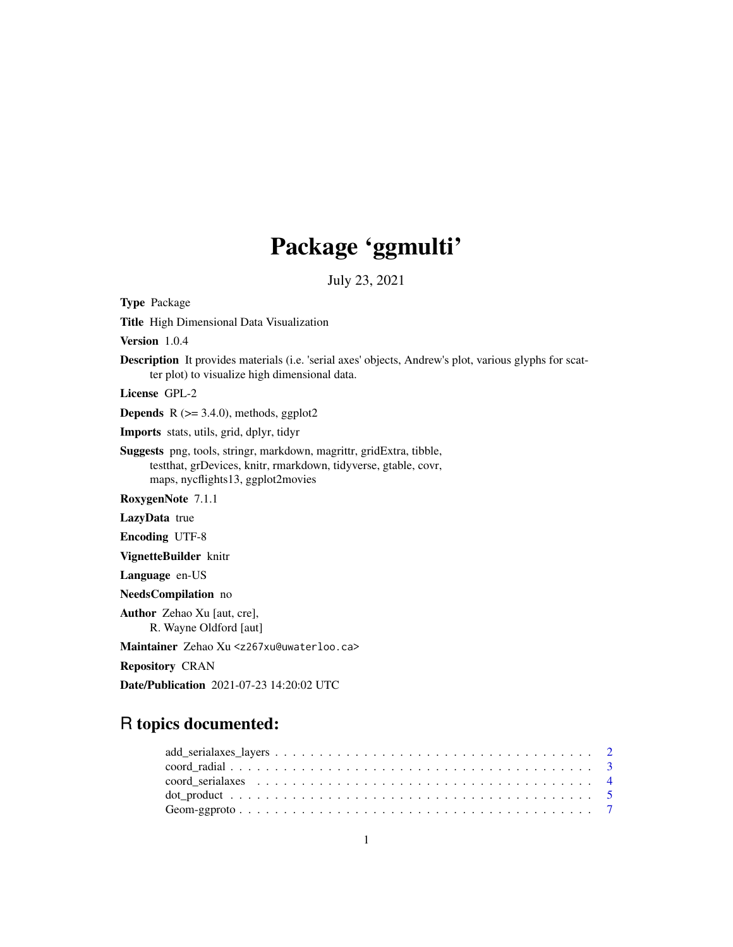## Package 'ggmulti'

July 23, 2021

<span id="page-0-0"></span>Type Package Title High Dimensional Data Visualization Version 1.0.4 Description It provides materials (i.e. 'serial axes' objects, Andrew's plot, various glyphs for scatter plot) to visualize high dimensional data.

License GPL-2

**Depends**  $R$  ( $>= 3.4.0$ ), methods, ggplot2

Imports stats, utils, grid, dplyr, tidyr

Suggests png, tools, stringr, markdown, magrittr, gridExtra, tibble, testthat, grDevices, knitr, rmarkdown, tidyverse, gtable, covr, maps, nycflights13, ggplot2movies

RoxygenNote 7.1.1

LazyData true

Encoding UTF-8

VignetteBuilder knitr

Language en-US

NeedsCompilation no

Author Zehao Xu [aut, cre], R. Wayne Oldford [aut]

Maintainer Zehao Xu <z267xu@uwaterloo.ca>

Repository CRAN

Date/Publication 2021-07-23 14:20:02 UTC

## R topics documented: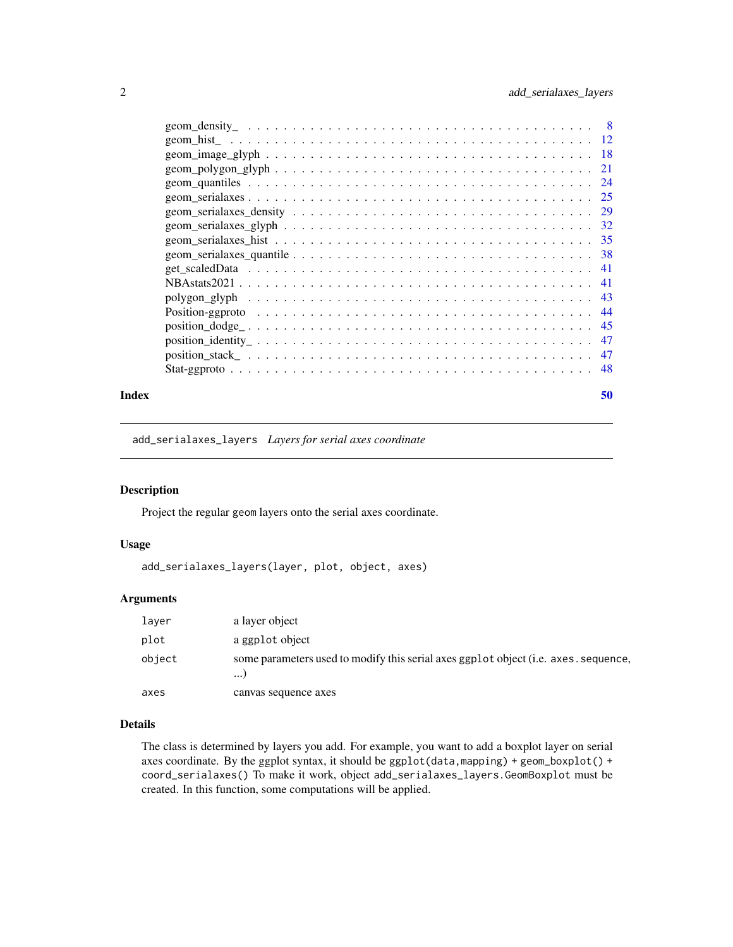<span id="page-1-0"></span>

| Index | 50 |  |
|-------|----|--|
|       |    |  |

<span id="page-1-1"></span>add\_serialaxes\_layers *Layers for serial axes coordinate*

## Description

Project the regular geom layers onto the serial axes coordinate.

#### Usage

```
add_serialaxes_layers(layer, plot, object, axes)
```
## Arguments

| laver  | a layer object                                                                                  |
|--------|-------------------------------------------------------------------------------------------------|
| plot   | a ggplot object                                                                                 |
| object | some parameters used to modify this serial axes ggp1ot object (i.e. axes. sequence,<br>$\cdots$ |
| axes   | canvas sequence axes                                                                            |

## Details

The class is determined by layers you add. For example, you want to add a boxplot layer on serial axes coordinate. By the ggplot syntax, it should be ggplot(data,mapping) + geom\_boxplot() + coord\_serialaxes() To make it work, object add\_serialaxes\_layers.GeomBoxplot must be created. In this function, some computations will be applied.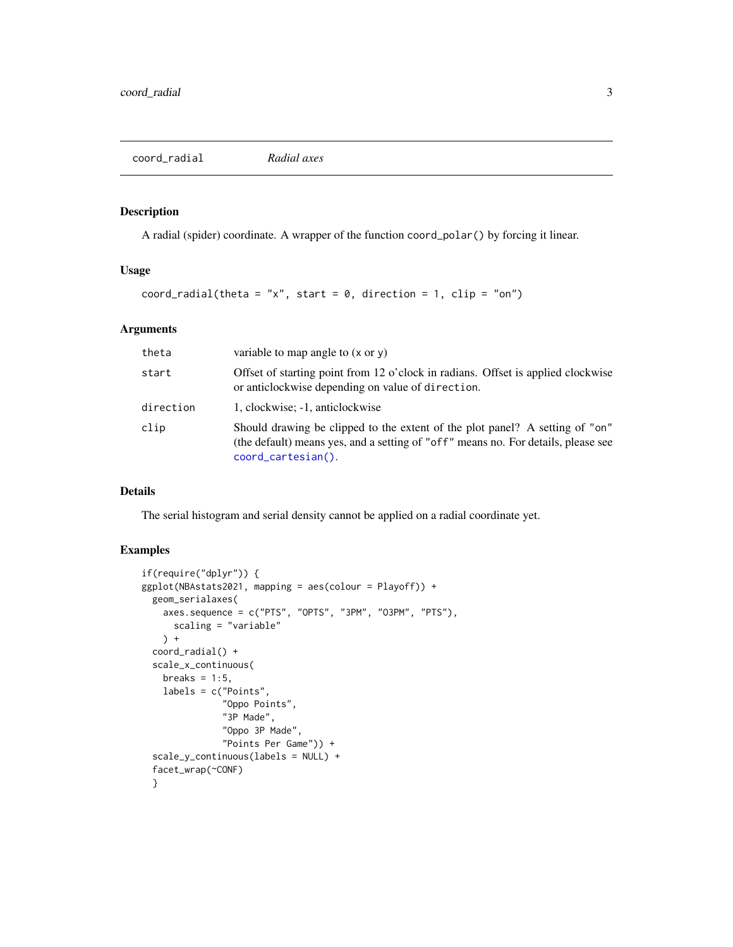<span id="page-2-0"></span>coord\_radial *Radial axes*

#### Description

A radial (spider) coordinate. A wrapper of the function coord\_polar() by forcing it linear.

## Usage

```
coord_radial(theta = "x", start = 0, direction = 1, clip = "on")
```
## Arguments

| theta     | variable to map angle to $(x \text{ or } y)$                                                                                                                                            |
|-----------|-----------------------------------------------------------------------------------------------------------------------------------------------------------------------------------------|
| start     | Offset of starting point from 12 o'clock in radians. Offset is applied clockwise<br>or anticlockwise depending on value of direction.                                                   |
| direction | 1, clockwise; -1, anticlockwise                                                                                                                                                         |
| clip      | Should drawing be clipped to the extent of the plot panel? A setting of "on"<br>(the default) means yes, and a setting of "off" means no. For details, please see<br>coord_cartesian(). |

## Details

The serial histogram and serial density cannot be applied on a radial coordinate yet.

```
if(require("dplyr")) {
ggplot(NBAstats2021, mapping = aes(colour = Playoff)) +
 geom_serialaxes(
   axes.sequence = c("PTS", "OPTS", "3PM", "O3PM", "PTS"),
     scaling = "variable"
   ) +coord_radial() +
 scale_x_continuous(
   breaks = 1:5,
   labels = c("Points",
               "Oppo Points",
               "3P Made",
               "Oppo 3P Made",
               "Points Per Game")) +
 scale_y_continuous(labels = NULL) +
 facet_wrap(~CONF)
 }
```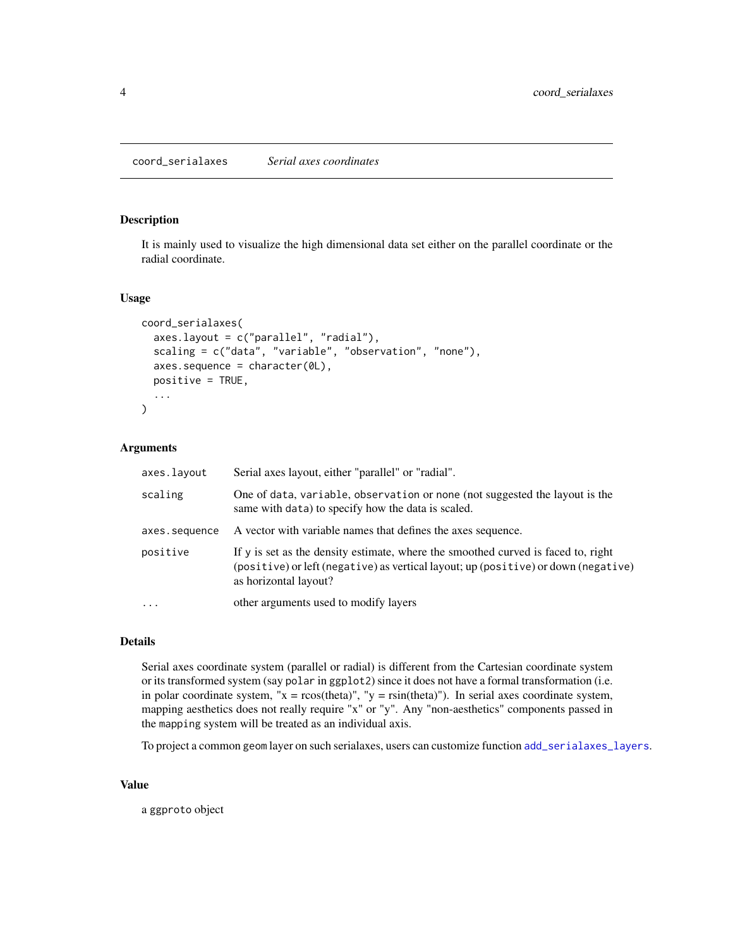#### <span id="page-3-1"></span><span id="page-3-0"></span>Description

It is mainly used to visualize the high dimensional data set either on the parallel coordinate or the radial coordinate.

#### Usage

```
coord_serialaxes(
  axes.layout = c("parallel", "radial"),
  scaling = c("data", "variable", "observation", "none"),
  axes.\nsequence = character(\mathcal{O}L),positive = TRUE,
  ...
\mathcal{L}
```
#### Arguments

| axes.layout   | Serial axes layout, either "parallel" or "radial".                                                                                                                                               |
|---------------|--------------------------------------------------------------------------------------------------------------------------------------------------------------------------------------------------|
| scaling       | One of data, variable, observation or none (not suggested the layout is the<br>same with data) to specify how the data is scaled.                                                                |
| axes.sequence | A vector with variable names that defines the axes sequence.                                                                                                                                     |
| positive      | If y is set as the density estimate, where the smoothed curved is faced to, right<br>(positive) or left (negative) as vertical layout; up (positive) or down (negative)<br>as horizontal layout? |
| $\cdots$      | other arguments used to modify layers                                                                                                                                                            |

## Details

Serial axes coordinate system (parallel or radial) is different from the Cartesian coordinate system or its transformed system (say polar in ggplot2) since it does not have a formal transformation (i.e. in polar coordinate system, " $x = r\cos(\theta)$ ", " $y = r\sin(\theta)$ "). In serial axes coordinate system, mapping aesthetics does not really require "x" or "y". Any "non-aesthetics" components passed in the mapping system will be treated as an individual axis.

To project a common geom layer on such serialaxes, users can customize function [add\\_serialaxes\\_layers](#page-1-1).

#### Value

a ggproto object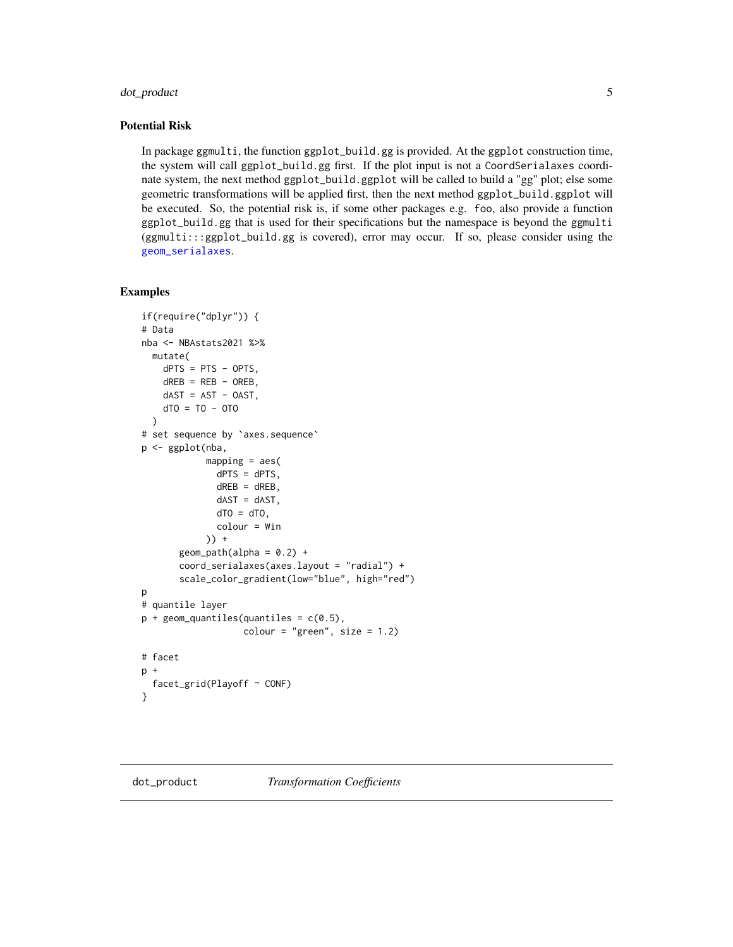## <span id="page-4-0"></span>dot\_product 5

#### Potential Risk

In package ggmulti, the function ggplot\_build.gg is provided. At the ggplot construction time, the system will call ggplot\_build.gg first. If the plot input is not a CoordSerialaxes coordinate system, the next method ggplot\_build.ggplot will be called to build a "gg" plot; else some geometric transformations will be applied first, then the next method ggplot\_build.ggplot will be executed. So, the potential risk is, if some other packages e.g. foo, also provide a function ggplot\_build.gg that is used for their specifications but the namespace is beyond the ggmulti (ggmulti:::ggplot\_build.gg is covered), error may occur. If so, please consider using the [geom\\_serialaxes](#page-24-1).

```
if(require("dplyr")) {
# Data
nba <- NBAstats2021 %>%
  mutate(
    dPTS = PTS - OPTS,dREB = REB - OREB,
   dAST = AST - OAST,dTO = TO - OTO)
# set sequence by `axes.sequence`
p <- ggplot(nba,
            mapping = aes(
              dPTS = dPTS,
              dREB = dREB,
              dAST = dAST,dTO = dTO,colour = Win
            )) +
       geom\_path(alpha = 0.2) +
       coord_serialaxes(axes.layout = "radial") +
       scale_color_gradient(low="blue", high="red")
p
# quantile layer
p + geom_quantiles (quantiles = c(0.5),
                   color = "green", size = 1.2)# facet
p +facet_grid(Playoff ~ CONF)
}
```
<span id="page-4-1"></span>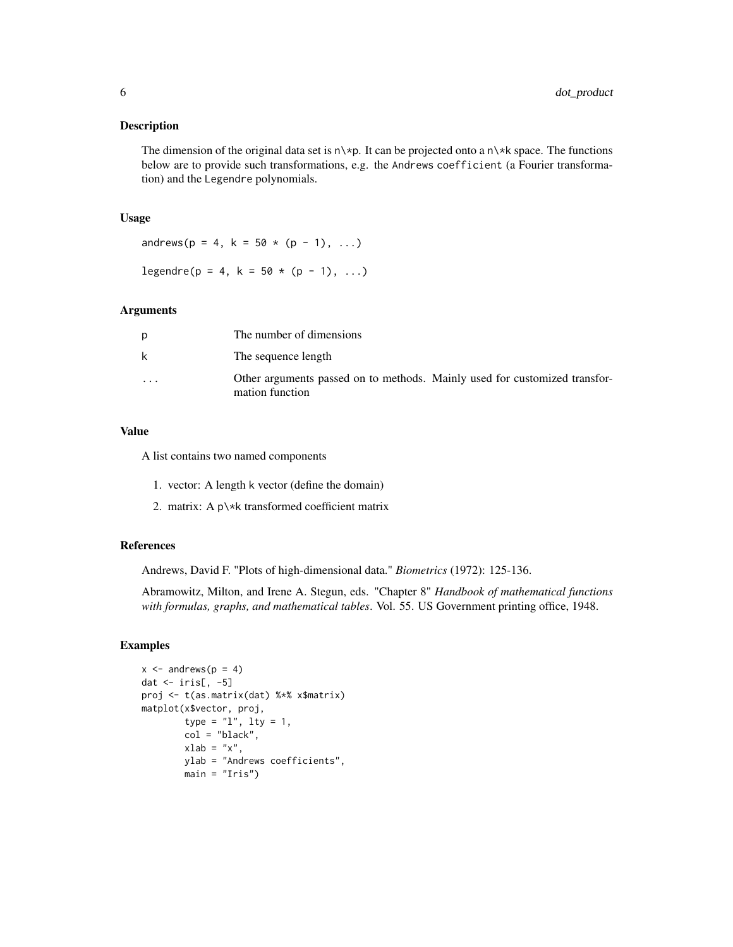#### Description

The dimension of the original data set is  $n \times p$ . It can be projected onto a  $n \times k$  space. The functions below are to provide such transformations, e.g. the Andrews coefficient (a Fourier transformation) and the Legendre polynomials.

#### Usage

```
andrews(p = 4, k = 50 * (p - 1), ...)
```
legendre(p = 4, k =  $50 * (p - 1), ...$ )

## Arguments

|                         | The number of dimensions                                                                      |
|-------------------------|-----------------------------------------------------------------------------------------------|
|                         | The sequence length                                                                           |
| $\cdot$ $\cdot$ $\cdot$ | Other arguments passed on to methods. Mainly used for customized transfor-<br>mation function |

#### Value

A list contains two named components

- 1. vector: A length k vector (define the domain)
- 2. matrix: A p\\*k transformed coefficient matrix

#### References

Andrews, David F. "Plots of high-dimensional data." *Biometrics* (1972): 125-136.

Abramowitz, Milton, and Irene A. Stegun, eds. "Chapter 8" *Handbook of mathematical functions with formulas, graphs, and mathematical tables*. Vol. 55. US Government printing office, 1948.

```
x \le - andrews(p = 4)
dat <- iris[, -5]
proj <- t(as.matrix(dat) %*% x$matrix)
matplot(x$vector, proj,
        type = "1", lty = 1,
        col = "black",xlab = "x",
        ylab = "Andrews coefficients",
       main = "Iris")
```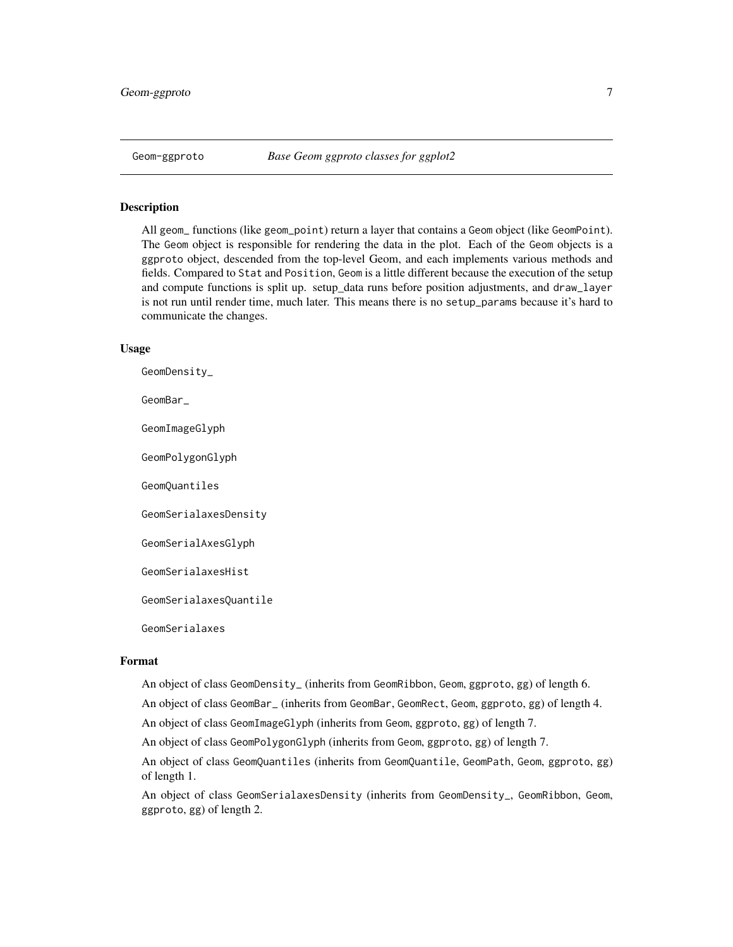<span id="page-6-0"></span>

#### Description

All geom\_ functions (like geom\_point) return a layer that contains a Geom object (like GeomPoint). The Geom object is responsible for rendering the data in the plot. Each of the Geom objects is a ggproto object, descended from the top-level Geom, and each implements various methods and fields. Compared to Stat and Position, Geom is a little different because the execution of the setup and compute functions is split up. setup\_data runs before position adjustments, and draw\_layer is not run until render time, much later. This means there is no setup\_params because it's hard to communicate the changes.

#### Usage

GeomDensity\_

GeomBar\_

GeomImageGlyph

GeomPolygonGlyph

GeomQuantiles

GeomSerialaxesDensity

GeomSerialAxesGlyph

GeomSerialaxesHist

GeomSerialaxesQuantile

GeomSerialaxes

#### Format

An object of class GeomDensity\_ (inherits from GeomRibbon, Geom, ggproto, gg) of length 6.

An object of class GeomBar\_ (inherits from GeomBar, GeomRect, Geom, ggproto, gg) of length 4.

An object of class GeomImageGlyph (inherits from Geom, ggproto, gg) of length 7.

An object of class GeomPolygonGlyph (inherits from Geom, ggproto, gg) of length 7.

An object of class GeomQuantiles (inherits from GeomQuantile, GeomPath, Geom, ggproto, gg) of length 1.

An object of class GeomSerialaxesDensity (inherits from GeomDensity\_, GeomRibbon, Geom, ggproto, gg) of length 2.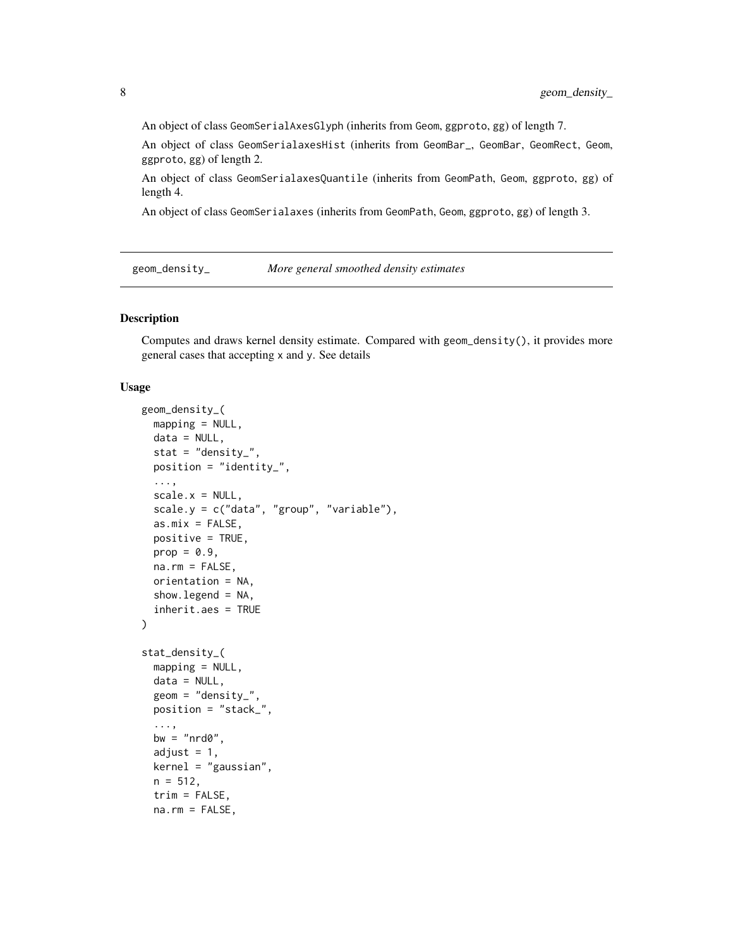<span id="page-7-0"></span>An object of class GeomSerialAxesGlyph (inherits from Geom, ggproto, gg) of length 7.

An object of class GeomSerialaxesHist (inherits from GeomBar\_, GeomBar, GeomRect, Geom, ggproto, gg) of length 2.

An object of class GeomSerialaxesQuantile (inherits from GeomPath, Geom, ggproto, gg) of length 4.

An object of class GeomSerialaxes (inherits from GeomPath, Geom, ggproto, gg) of length 3.

<span id="page-7-1"></span>geom\_density\_ *More general smoothed density estimates*

#### Description

Computes and draws kernel density estimate. Compared with geom\_density(), it provides more general cases that accepting x and y. See details

#### Usage

```
geom_density_(
 mapping = NULL,
 data = NULL,stat = "density_",
 position = "identity_",
  ...,
  scale.x = NULL,scale.y = c("data", "group", "variable"),
  as.mix = FALSE,positive = TRUE,
 prop = 0.9,
 na.rm = FALSE,orientation = NA,
  show.legend = NA,
  inherit.aes = TRUE
\lambdastat_density_(
 mapping = NULL,
 data = NULL,geom = "density,"position = "stack_",
  ...,
 bw = "nrd0".
  adjust = 1,
 kernel = "gaussian",
 n = 512,
  trim = FALSE,na.rm = FALSE,
```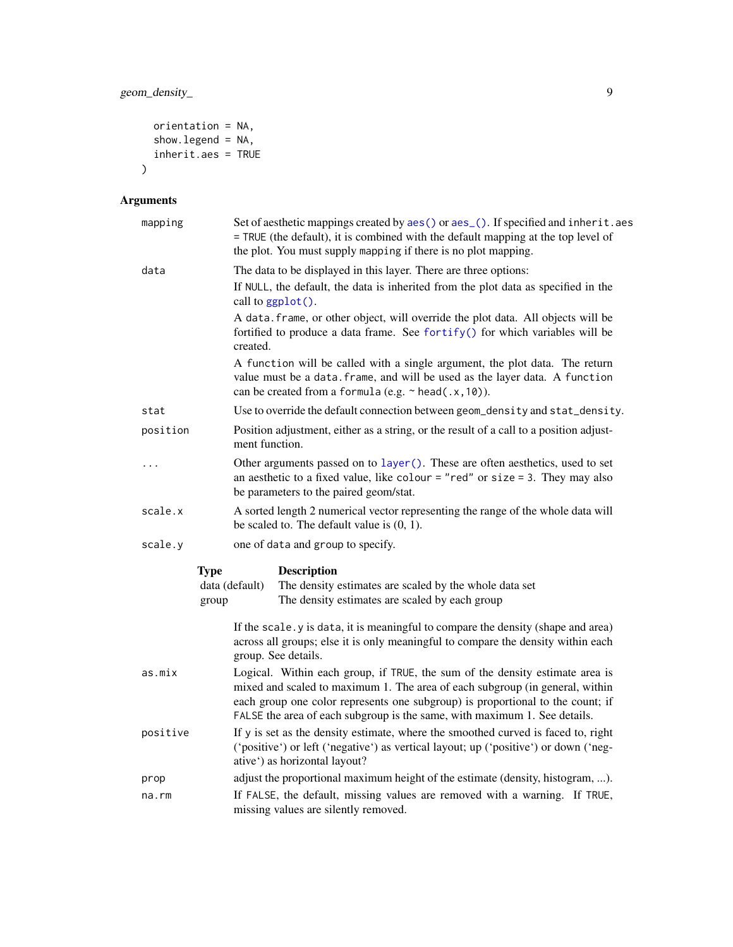<span id="page-8-0"></span>geom\_density\_ 9

```
orientation = NA,
  show.legend = NA,
  inherit.aes = TRUE
\mathcal{L}
```
## Arguments

| mapping  |             |                | Set of aesthetic mappings created by aes() or aes_(). If specified and inherit.aes<br>= TRUE (the default), it is combined with the default mapping at the top level of<br>the plot. You must supply mapping if there is no plot mapping.                                                                                   |
|----------|-------------|----------------|-----------------------------------------------------------------------------------------------------------------------------------------------------------------------------------------------------------------------------------------------------------------------------------------------------------------------------|
| data     |             |                | The data to be displayed in this layer. There are three options:                                                                                                                                                                                                                                                            |
|          |             |                | If NULL, the default, the data is inherited from the plot data as specified in the<br>call to ggplot().                                                                                                                                                                                                                     |
|          |             | created.       | A data. frame, or other object, will override the plot data. All objects will be<br>fortified to produce a data frame. See fortify() for which variables will be                                                                                                                                                            |
|          |             |                | A function will be called with a single argument, the plot data. The return<br>value must be a data. frame, and will be used as the layer data. A function<br>can be created from a formula (e.g. $\sim$ head(.x, 10)).                                                                                                     |
| stat     |             |                | Use to override the default connection between geom_density and stat_density.                                                                                                                                                                                                                                               |
| position |             | ment function. | Position adjustment, either as a string, or the result of a call to a position adjust-                                                                                                                                                                                                                                      |
| $\cdots$ |             |                | Other arguments passed on to layer (). These are often aesthetics, used to set<br>an aesthetic to a fixed value, like colour = "red" or size = 3. They may also<br>be parameters to the paired geom/stat.                                                                                                                   |
| scale.x  |             |                | A sorted length 2 numerical vector representing the range of the whole data will<br>be scaled to. The default value is $(0, 1)$ .                                                                                                                                                                                           |
| scale.y  |             |                | one of data and group to specify.                                                                                                                                                                                                                                                                                           |
|          | <b>Type</b> |                | <b>Description</b>                                                                                                                                                                                                                                                                                                          |
|          | group       | data (default) | The density estimates are scaled by the whole data set<br>The density estimates are scaled by each group                                                                                                                                                                                                                    |
|          |             |                | If the scale. y is data, it is meaningful to compare the density (shape and area)<br>across all groups; else it is only meaningful to compare the density within each<br>group. See details.                                                                                                                                |
| as.mix   |             |                | Logical. Within each group, if TRUE, the sum of the density estimate area is<br>mixed and scaled to maximum 1. The area of each subgroup (in general, within<br>each group one color represents one subgroup) is proportional to the count; if<br>FALSE the area of each subgroup is the same, with maximum 1. See details. |
| positive |             |                | If y is set as the density estimate, where the smoothed curved is faced to, right<br>('positive') or left ('negative') as vertical layout; up ('positive') or down ('neg-<br>ative') as horizontal layout?                                                                                                                  |
| prop     |             |                | adjust the proportional maximum height of the estimate (density, histogram, ).                                                                                                                                                                                                                                              |
| na.rm    |             |                | If FALSE, the default, missing values are removed with a warning. If TRUE,<br>missing values are silently removed.                                                                                                                                                                                                          |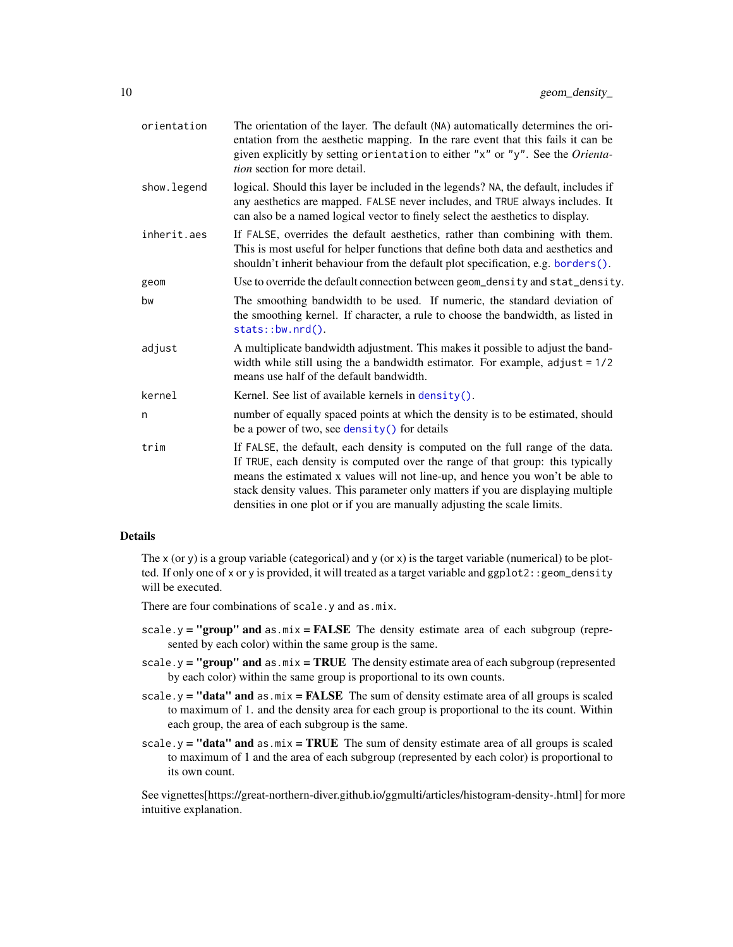<span id="page-9-0"></span>

| orientation | The orientation of the layer. The default (NA) automatically determines the ori-<br>entation from the aesthetic mapping. In the rare event that this fails it can be<br>given explicitly by setting orientation to either "x" or "y". See the Orienta-<br><i>tion</i> section for more detail.                                                                                                                    |
|-------------|-------------------------------------------------------------------------------------------------------------------------------------------------------------------------------------------------------------------------------------------------------------------------------------------------------------------------------------------------------------------------------------------------------------------|
| show.legend | logical. Should this layer be included in the legends? NA, the default, includes if<br>any aesthetics are mapped. FALSE never includes, and TRUE always includes. It<br>can also be a named logical vector to finely select the aesthetics to display.                                                                                                                                                            |
| inherit.aes | If FALSE, overrides the default aesthetics, rather than combining with them.<br>This is most useful for helper functions that define both data and aesthetics and<br>shouldn't inherit behaviour from the default plot specification, e.g. borders().                                                                                                                                                             |
| geom        | Use to override the default connection between geom_density and stat_density.                                                                                                                                                                                                                                                                                                                                     |
| bw          | The smoothing bandwidth to be used. If numeric, the standard deviation of<br>the smoothing kernel. If character, a rule to choose the bandwidth, as listed in<br>$stats::bw.nrd()$ .                                                                                                                                                                                                                              |
| adjust      | A multiplicate bandwidth adjustment. This makes it possible to adjust the band-<br>width while still using the a bandwidth estimator. For example, $adjust = 1/2$<br>means use half of the default bandwidth.                                                                                                                                                                                                     |
| kernel      | Kernel. See list of available kernels in $density()$ .                                                                                                                                                                                                                                                                                                                                                            |
| n           | number of equally spaced points at which the density is to be estimated, should<br>be a power of two, see density () for details                                                                                                                                                                                                                                                                                  |
| trim        | If FALSE, the default, each density is computed on the full range of the data.<br>If TRUE, each density is computed over the range of that group: this typically<br>means the estimated x values will not line-up, and hence you won't be able to<br>stack density values. This parameter only matters if you are displaying multiple<br>densities in one plot or if you are manually adjusting the scale limits. |
|             |                                                                                                                                                                                                                                                                                                                                                                                                                   |

#### Details

The x (or y) is a group variable (categorical) and y (or x) is the target variable (numerical) to be plotted. If only one of x or y is provided, it will treated as a target variable and ggplot2::geom\_density will be executed.

There are four combinations of scale.y and as.mix.

- scale.y = "group" and as.mix = FALSE The density estimate area of each subgroup (represented by each color) within the same group is the same.
- scale.y = "group" and as.mix = TRUE The density estimate area of each subgroup (represented by each color) within the same group is proportional to its own counts.
- scale.y = "data" and as.mix = FALSE The sum of density estimate area of all groups is scaled to maximum of 1. and the density area for each group is proportional to the its count. Within each group, the area of each subgroup is the same.
- scale.y = "data" and as.mix = TRUE The sum of density estimate area of all groups is scaled to maximum of 1 and the area of each subgroup (represented by each color) is proportional to its own count.

See vignettes[https://great-northern-diver.github.io/ggmulti/articles/histogram-density-.html] for more intuitive explanation.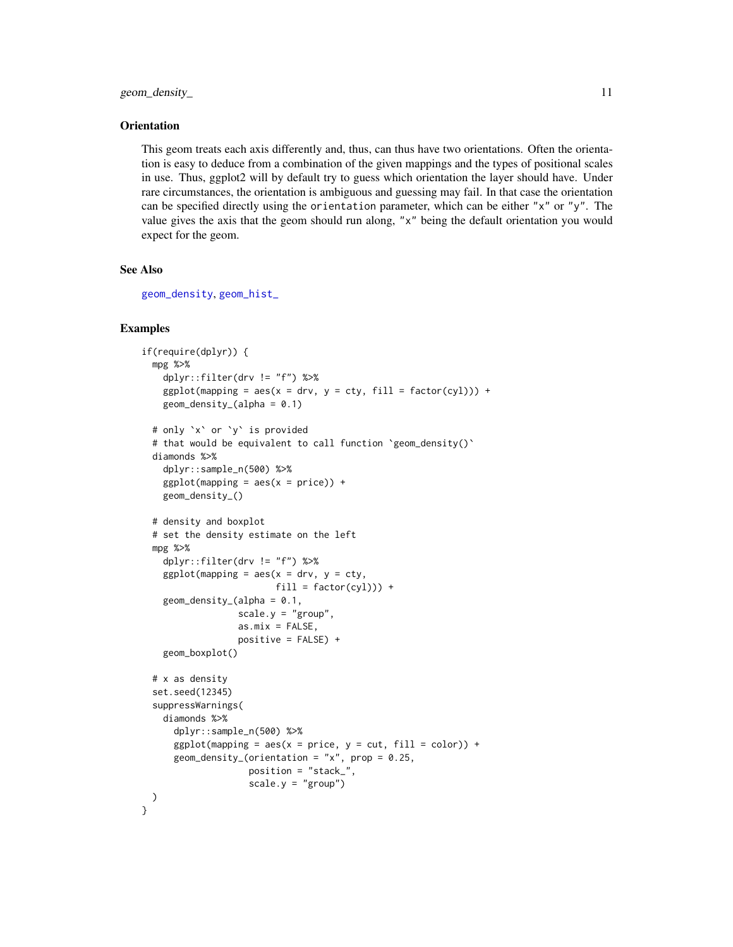#### <span id="page-10-0"></span>geom\_density\_ 11

#### **Orientation**

This geom treats each axis differently and, thus, can thus have two orientations. Often the orientation is easy to deduce from a combination of the given mappings and the types of positional scales in use. Thus, ggplot2 will by default try to guess which orientation the layer should have. Under rare circumstances, the orientation is ambiguous and guessing may fail. In that case the orientation can be specified directly using the orientation parameter, which can be either "x" or "y". The value gives the axis that the geom should run along, "x" being the default orientation you would expect for the geom.

### See Also

[geom\\_density](#page-0-0), [geom\\_hist\\_](#page-11-1)

```
if(require(dplyr)) {
 mpg %>%
   dplyr::filter(drv != "f") %>%
    ggplot(mapping = aes(x = drv, y = cty, fill = factor(cyl))) +geom\_density_{a}[alpha = 0.1)
 # only `x` or `y` is provided
 # that would be equivalent to call function 'geom_density()'
 diamonds %>%
   dplyr::sample_n(500) %>%
   ggplot(mapping = aes(x = price)) +geom_density_()
 # density and boxplot
 # set the density estimate on the left
 mpg %>%
    dplyr::filter(drv != "f") %>%
    ggplot(mapping = aes(x = drv, y = cty,fill = factor(cyl)) +
    geom\_density_{a}[alpha = 0.1,
                  scale.y = "group",
                  as.mix = FALSE,positive = FALSE) +
    geom_boxplot()
 # x as density
 set.seed(12345)
 suppressWarnings(
   diamonds %>%
     dplyr::sample_n(500) %>%
      ggplot(mapping = aes(x = price, y = cut, fill = color)) +geom_density_(orientation = "x", prop = 0.25,
                    position = "stack_",
                    scale.y = "group"))
}
```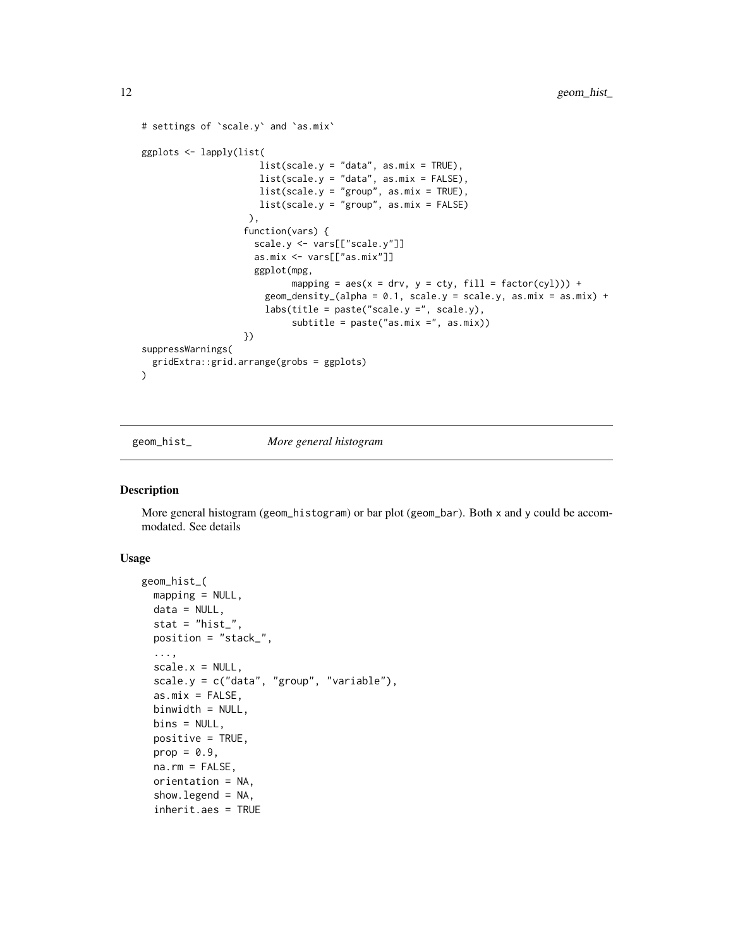```
# settings of `scale.y` and `as.mix`
ggplots <- lapply(list(
                       list(scale.y = "data", as mix = TRUE),list(scale.y = "data", as mix = FALSE),list(scale.y = "group", as mix = TRUE),list(scale.y = "group", as mix = FALSE)),
                    function(vars) {
                      scale.y <- vars[["scale.y"]]
                      as.mix <- vars[["as.mix"]]
                      ggplot(mpg,
                              mapping = \text{aes}(x = \text{drv}, y = \text{cty}, \text{fill} = \text{factor}(\text{cyl})) +
                        geom_density_(alpha = 0.1, scale.y = scale.y, as.mix = as.mix) +
                        labs(title = paste("scale.y =", scale.y),
                              subtitle = paste("as.mix =", as.mix))
                    })
suppressWarnings(
 gridExtra::grid.arrange(grobs = ggplots)
)
```
<span id="page-11-1"></span>geom\_hist\_ *More general histogram*

#### Description

More general histogram (geom\_histogram) or bar plot (geom\_bar). Both x and y could be accommodated. See details

#### Usage

```
geom_hist_(
 mapping = NULL,
 data = NULL,stat = "hist",
 position = "stack_",
  ...,
 scale.x = NULL,scale.y = c("data", "group", "variable"),
 as.mix = FALSE,binwidth = NULL,bins = NULL,
 positive = TRUE,
 prop = 0.9,
 na.rm = FALSE,
 orientation = NA,
  show.legend = NA,
  inherit.aes = TRUE
```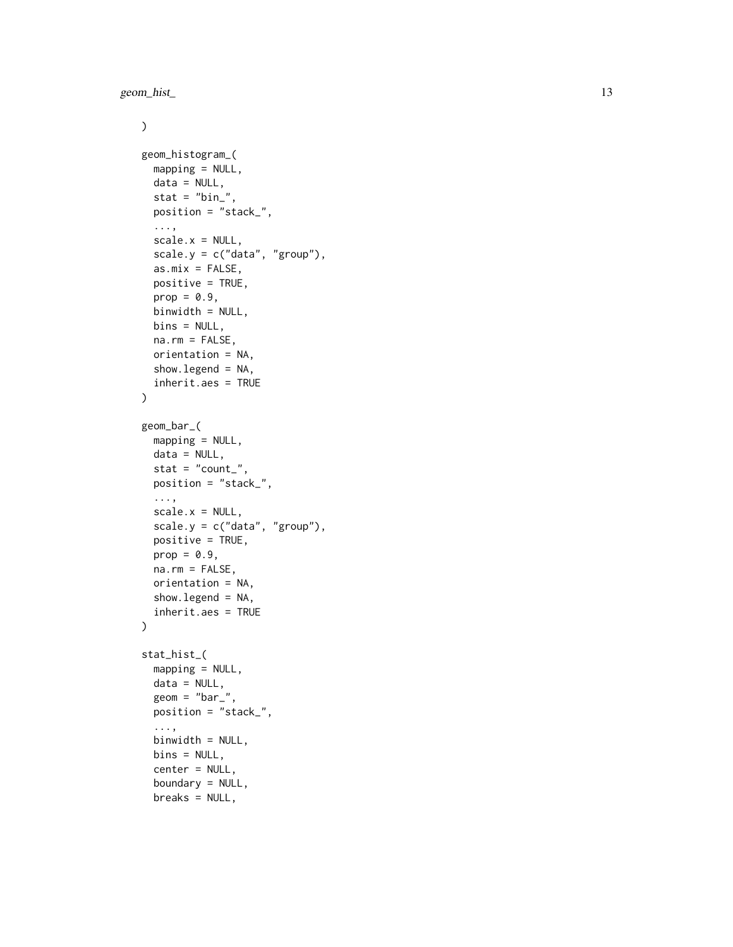geom\_hist\_ 13

```
\mathcal{L}geom_histogram_(
 mapping = NULL,
  data = NULL,
  stat = "bin'_,
 position = "stack_",
  ...,
  scale.x = NULL,scale.y = c("data", "group"),as.mix = FALSE,positive = TRUE,
 prop = 0.9,
 binwidth = NULL,
 bins = NULL,na.rm = FALSE,orientation = NA,
  show.legend = NA,
  inherit.aes = TRUE
\lambdageom_bar_(
 mapping = NULL,
 data = NULL,stat = "count_,
 position = "stack_",
  ...,
  scale.x = NULL,scale.y = c("data", "group"),positive = TRUE,
 prop = 0.9,
 na.rm = FALSE,orientation = NA,
  show.legend = NA,
  inherit.aes = TRUE
\mathcal{L}stat_hist_(
  mapping = NULL,data = NULL,geom = "bar",
 position = "stack_",
  ...,
 binwidth = NULL,
 bins = NULL,
  center = NULL,
  boundary = NULL,
 breaks = NULL,
```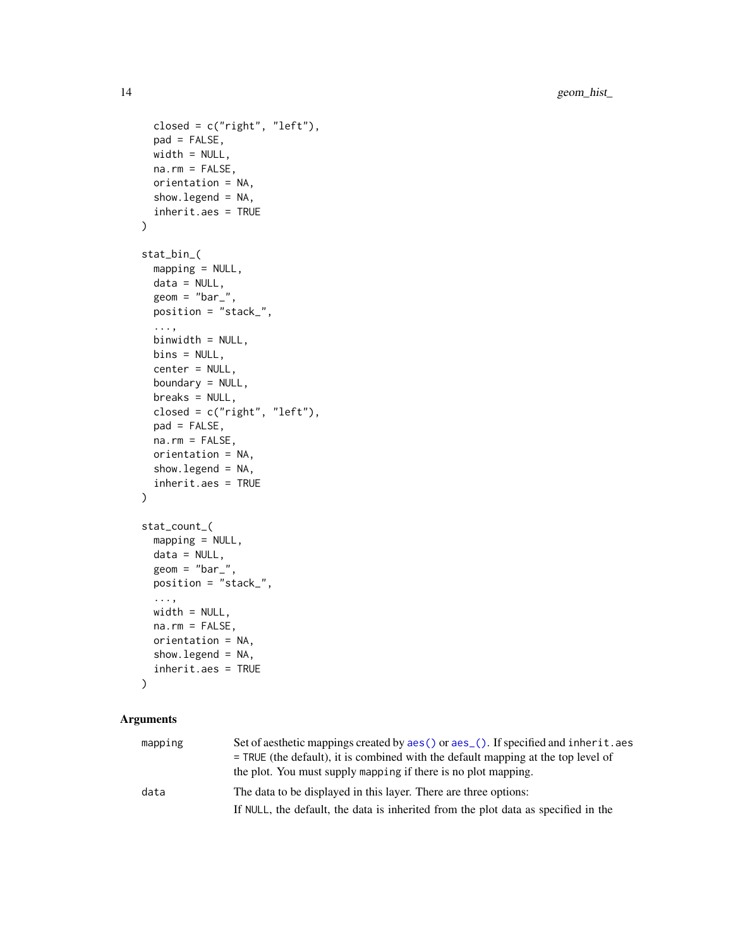```
closed = c("right", "left"),
 pad = FALSE,width = NULL,na.rm = FALSE,
 orientation = NA,
 show.legend = NA,
 inherit.aes = TRUE
)
stat_bin_(
 mapping = NULL,
 data = NULL,geom = "bar",
 position = "stack_",
  ...,
 binwidth = NULL,
 bins = NULL,
 center = NULL,
 boundary = NULL,
 breaks = NULL,
 closed = c("right", "left"),
 pad = FALSE,na.rm = FALSE,
 orientation = NA,
 show.legend = NA,
  inherit.aes = TRUE
)
stat_count_(
 mapping = NULL,
 data = NULL,
 geom = "bar",
 position = "stack_",
 ...,
 width = NULL,
 na.rm = FALSE,
 orientation = NA,
 show.legend = NA,
  inherit.aes = TRUE
```

```
)
```
#### Arguments

| mapping | Set of aesthetic mappings created by aes () or aes (). If specified and inherit. aes |
|---------|--------------------------------------------------------------------------------------|
|         | $=$ TRUE (the default), it is combined with the default mapping at the top level of  |
|         | the plot. You must supply mapping if there is no plot mapping.                       |
| data    | The data to be displayed in this layer. There are three options:                     |
|         | If NULL, the default, the data is inherited from the plot data as specified in the   |

<span id="page-13-0"></span>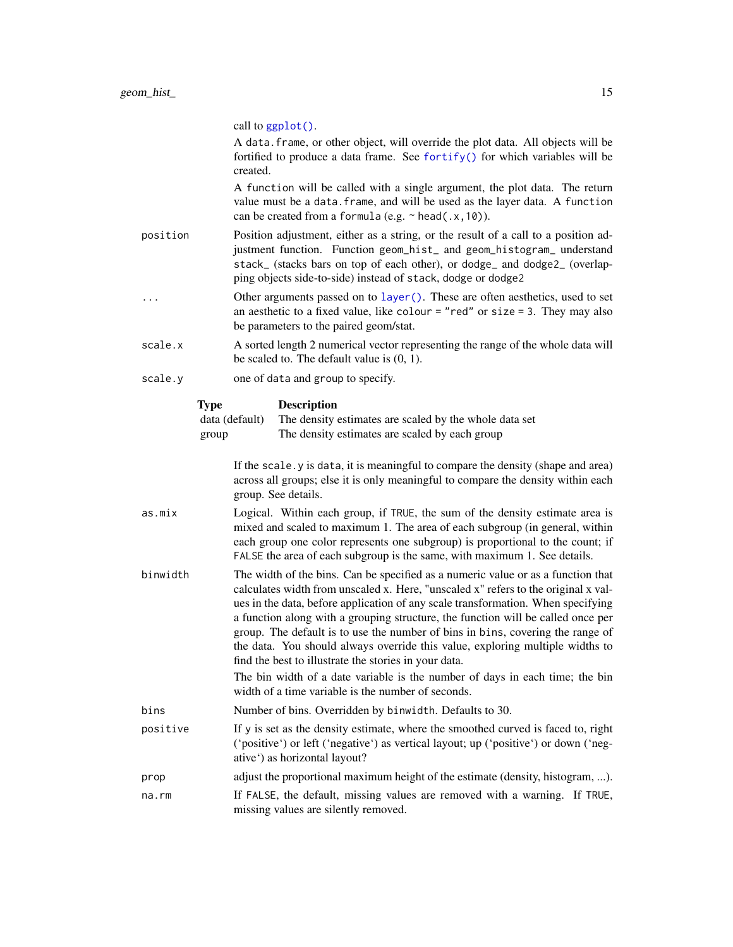<span id="page-14-0"></span>

|          | call to ggplot().                                                                                                                                                                                                                                                                                                                                                                                                                                                                                                                                                                                                                                                                                                |
|----------|------------------------------------------------------------------------------------------------------------------------------------------------------------------------------------------------------------------------------------------------------------------------------------------------------------------------------------------------------------------------------------------------------------------------------------------------------------------------------------------------------------------------------------------------------------------------------------------------------------------------------------------------------------------------------------------------------------------|
|          | A data. frame, or other object, will override the plot data. All objects will be<br>fortified to produce a data frame. See fortify() for which variables will be<br>created.                                                                                                                                                                                                                                                                                                                                                                                                                                                                                                                                     |
|          | A function will be called with a single argument, the plot data. The return<br>value must be a data. frame, and will be used as the layer data. A function<br>can be created from a formula (e.g. $\sim$ head(.x, 10)).                                                                                                                                                                                                                                                                                                                                                                                                                                                                                          |
| position | Position adjustment, either as a string, or the result of a call to a position ad-<br>justment function. Function geom_hist_ and geom_histogram_ understand<br>stack_ (stacks bars on top of each other), or dodge_ and dodge2_ (overlap-<br>ping objects side-to-side) instead of stack, dodge or dodge2                                                                                                                                                                                                                                                                                                                                                                                                        |
| .        | Other arguments passed on to layer (). These are often aesthetics, used to set<br>an aesthetic to a fixed value, like colour = "red" or size = 3. They may also<br>be parameters to the paired geom/stat.                                                                                                                                                                                                                                                                                                                                                                                                                                                                                                        |
| scale.x  | A sorted length 2 numerical vector representing the range of the whole data will<br>be scaled to. The default value is $(0, 1)$ .                                                                                                                                                                                                                                                                                                                                                                                                                                                                                                                                                                                |
| scale.y  | one of data and group to specify.                                                                                                                                                                                                                                                                                                                                                                                                                                                                                                                                                                                                                                                                                |
|          | <b>Type</b><br><b>Description</b><br>data (default)<br>The density estimates are scaled by the whole data set<br>The density estimates are scaled by each group<br>group                                                                                                                                                                                                                                                                                                                                                                                                                                                                                                                                         |
|          | If the scale. y is data, it is meaningful to compare the density (shape and area)<br>across all groups; else it is only meaningful to compare the density within each<br>group. See details.                                                                                                                                                                                                                                                                                                                                                                                                                                                                                                                     |
| as.mix   | Logical. Within each group, if TRUE, the sum of the density estimate area is<br>mixed and scaled to maximum 1. The area of each subgroup (in general, within<br>each group one color represents one subgroup) is proportional to the count; if<br>FALSE the area of each subgroup is the same, with maximum 1. See details.                                                                                                                                                                                                                                                                                                                                                                                      |
| binwidth | The width of the bins. Can be specified as a numeric value or as a function that<br>calculates width from unscaled x. Here, "unscaled x" refers to the original x val-<br>ues in the data, before application of any scale transformation. When specifying<br>a function along with a grouping structure, the function will be called once per<br>group. The default is to use the number of bins in bins, covering the range of<br>the data. You should always override this value, exploring multiple widths to<br>find the best to illustrate the stories in your data.<br>The bin width of a date variable is the number of days in each time; the bin<br>width of a time variable is the number of seconds. |
| bins     | Number of bins. Overridden by binwidth. Defaults to 30.                                                                                                                                                                                                                                                                                                                                                                                                                                                                                                                                                                                                                                                          |
| positive | If y is set as the density estimate, where the smoothed curved is faced to, right<br>('positive') or left ('negative') as vertical layout; up ('positive') or down ('neg-<br>ative') as horizontal layout?                                                                                                                                                                                                                                                                                                                                                                                                                                                                                                       |
| prop     | adjust the proportional maximum height of the estimate (density, histogram, ).                                                                                                                                                                                                                                                                                                                                                                                                                                                                                                                                                                                                                                   |
| na.rm    | If FALSE, the default, missing values are removed with a warning. If TRUE,<br>missing values are silently removed.                                                                                                                                                                                                                                                                                                                                                                                                                                                                                                                                                                                               |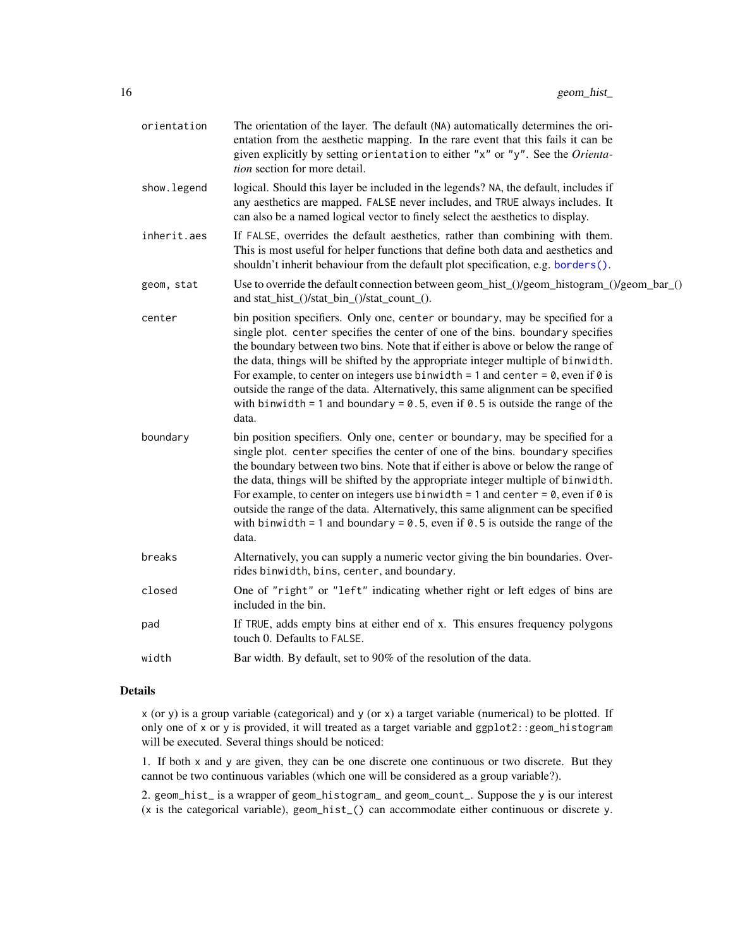<span id="page-15-0"></span>

| orientation | The orientation of the layer. The default (NA) automatically determines the ori-<br>entation from the aesthetic mapping. In the rare event that this fails it can be<br>given explicitly by setting orientation to either "x" or "y". See the Orienta-<br>tion section for more detail.                                                                                                                                                                                                                                                                                                                                            |
|-------------|------------------------------------------------------------------------------------------------------------------------------------------------------------------------------------------------------------------------------------------------------------------------------------------------------------------------------------------------------------------------------------------------------------------------------------------------------------------------------------------------------------------------------------------------------------------------------------------------------------------------------------|
| show.legend | logical. Should this layer be included in the legends? NA, the default, includes if<br>any aesthetics are mapped. FALSE never includes, and TRUE always includes. It<br>can also be a named logical vector to finely select the aesthetics to display.                                                                                                                                                                                                                                                                                                                                                                             |
| inherit.aes | If FALSE, overrides the default aesthetics, rather than combining with them.<br>This is most useful for helper functions that define both data and aesthetics and<br>shouldn't inherit behaviour from the default plot specification, e.g. borders().                                                                                                                                                                                                                                                                                                                                                                              |
| geom, stat  | Use to override the default connection between geom_hist_()/geom_histogram_()/geom_bar_()<br>and stat_hist_()/stat_bin_()/stat_count_().                                                                                                                                                                                                                                                                                                                                                                                                                                                                                           |
| center      | bin position specifiers. Only one, center or boundary, may be specified for a<br>single plot. center specifies the center of one of the bins. boundary specifies<br>the boundary between two bins. Note that if either is above or below the range of<br>the data, things will be shifted by the appropriate integer multiple of binwidth.<br>For example, to center on integers use binwidth = 1 and center = $\theta$ , even if $\theta$ is<br>outside the range of the data. Alternatively, this same alignment can be specified<br>with binwidth = 1 and boundary = $0.5$ , even if $0.5$ is outside the range of the<br>data. |
| boundary    | bin position specifiers. Only one, center or boundary, may be specified for a<br>single plot. center specifies the center of one of the bins. boundary specifies<br>the boundary between two bins. Note that if either is above or below the range of<br>the data, things will be shifted by the appropriate integer multiple of binwidth.<br>For example, to center on integers use binwidth = 1 and center = $0$ , even if 0 is<br>outside the range of the data. Alternatively, this same alignment can be specified<br>with binwidth = 1 and boundary = $0.5$ , even if $0.5$ is outside the range of the<br>data.             |
| breaks      | Alternatively, you can supply a numeric vector giving the bin boundaries. Over-<br>rides binwidth, bins, center, and boundary.                                                                                                                                                                                                                                                                                                                                                                                                                                                                                                     |
| closed      | One of "right" or "left" indicating whether right or left edges of bins are<br>included in the bin.                                                                                                                                                                                                                                                                                                                                                                                                                                                                                                                                |
| pad         | If TRUE, adds empty bins at either end of x. This ensures frequency polygons<br>touch 0. Defaults to FALSE.                                                                                                                                                                                                                                                                                                                                                                                                                                                                                                                        |
| width       | Bar width. By default, set to 90% of the resolution of the data.                                                                                                                                                                                                                                                                                                                                                                                                                                                                                                                                                                   |
|             |                                                                                                                                                                                                                                                                                                                                                                                                                                                                                                                                                                                                                                    |

## Details

 $x$  (or  $y$ ) is a group variable (categorical) and  $y$  (or  $x$ ) a target variable (numerical) to be plotted. If only one of x or y is provided, it will treated as a target variable and ggplot2::geom\_histogram will be executed. Several things should be noticed:

1. If both x and y are given, they can be one discrete one continuous or two discrete. But they cannot be two continuous variables (which one will be considered as a group variable?).

2. geom\_hist\_ is a wrapper of geom\_histogram\_ and geom\_count\_. Suppose the y is our interest (x is the categorical variable), geom\_hist\_() can accommodate either continuous or discrete y.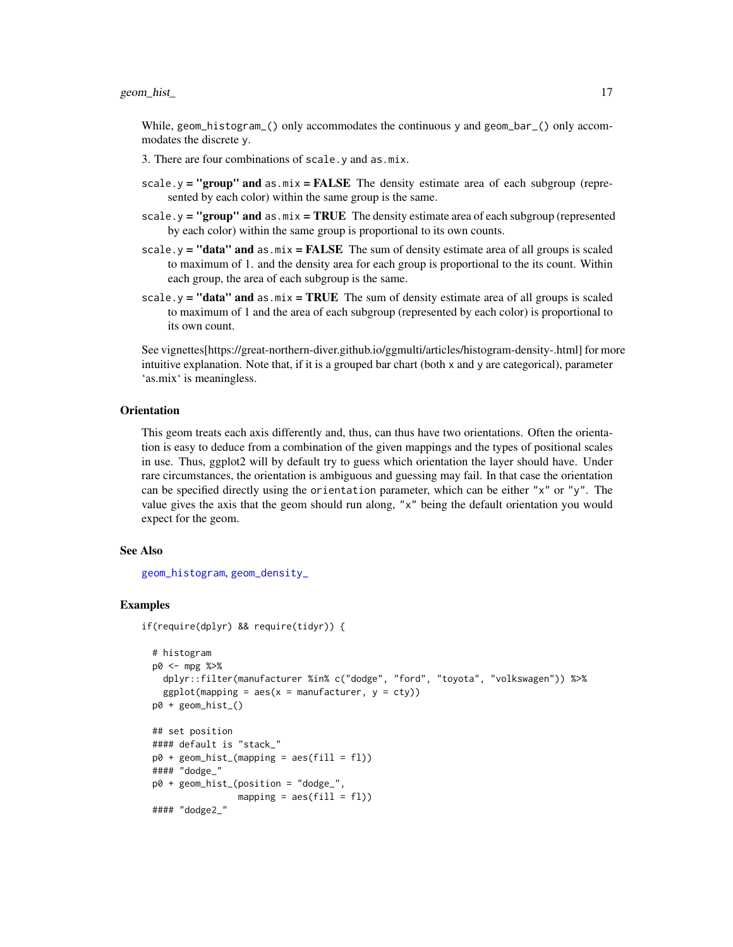#### <span id="page-16-0"></span>geom\_hist\_ 17

While, geom\_histogram\_() only accommodates the continuous y and geom\_bar\_() only accommodates the discrete y.

- 3. There are four combinations of scale.y and as.mix.
- scale.  $y =$  "group" and as.  $mix = FALSE$  The density estimate area of each subgroup (represented by each color) within the same group is the same.
- scale.y = "group" and as. $mix = TRUE$  The density estimate area of each subgroup (represented by each color) within the same group is proportional to its own counts.
- scale.y = "data" and as.mix = FALSE The sum of density estimate area of all groups is scaled to maximum of 1. and the density area for each group is proportional to the its count. Within each group, the area of each subgroup is the same.
- scale.y = "data" and as.mix = TRUE The sum of density estimate area of all groups is scaled to maximum of 1 and the area of each subgroup (represented by each color) is proportional to its own count.

See vignettes[https://great-northern-diver.github.io/ggmulti/articles/histogram-density-.html] for more intuitive explanation. Note that, if it is a grouped bar chart (both x and y are categorical), parameter 'as.mix' is meaningless.

#### **Orientation**

This geom treats each axis differently and, thus, can thus have two orientations. Often the orientation is easy to deduce from a combination of the given mappings and the types of positional scales in use. Thus, ggplot2 will by default try to guess which orientation the layer should have. Under rare circumstances, the orientation is ambiguous and guessing may fail. In that case the orientation can be specified directly using the orientation parameter, which can be either "x" or "y". The value gives the axis that the geom should run along, "x" being the default orientation you would expect for the geom.

## See Also

[geom\\_histogram](#page-0-0), [geom\\_density\\_](#page-7-1)

```
if(require(dplyr) && require(tidyr)) {
```

```
# histogram
p0 <- mpg %>%
  dplyr::filter(manufacturer %in% c("dodge", "ford", "toyota", "volkswagen")) %>%
  ggplot(mapping = aes(x = manufacturer, y = city))p0 + geom_hist_()
## set position
#### default is "stack_"
p0 + geom\_hist_ (mapping = aes(fill = f1))#### "dodge_"
p0 + geom_hist_(position = "dodge_",
                mapping = acs(fill = f1))
#### "dodge2_"
```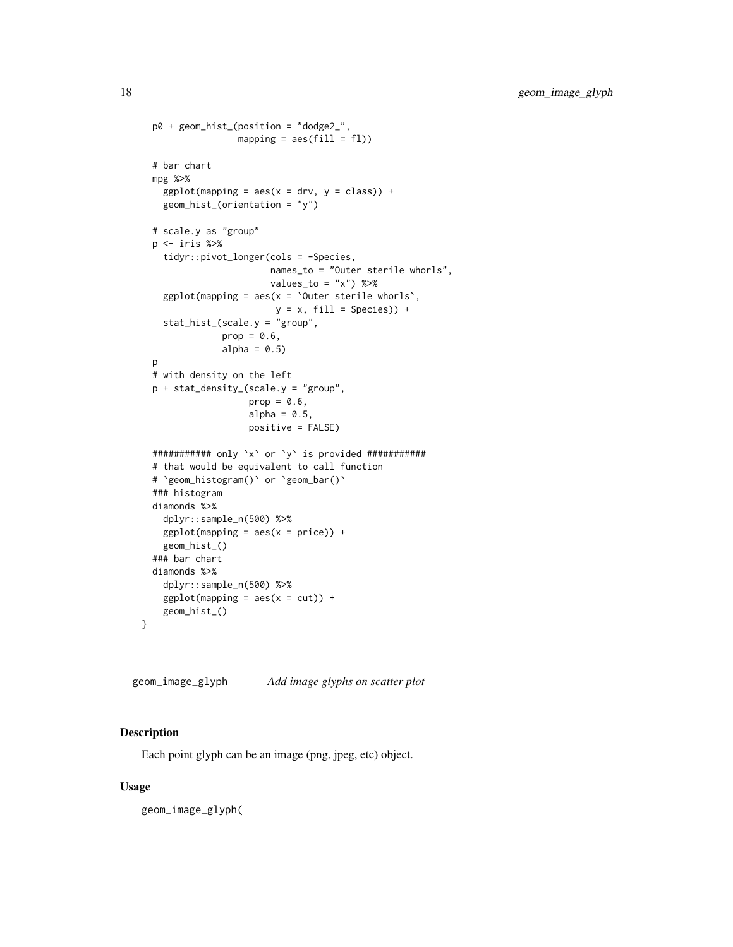```
p0 + geom_hist_(position = "dodge2_",
                 mapping = aes(fill = f1)# bar chart
 mpg %>%
   ggplot(mapping = aes(x = drv, y = class)) +geom_hist_(orientation = "y")
 # scale.y as "group"
 p <- iris %>%
    tidyr::pivot_longer(cols = -Species,
                       names_to = "Outer sterile whorls",
                       values_to = "x") %>>ggplot(mapping = aes(x = 'Outer sterile whorls',y = x, fill = Species)) +
    stat_hist_(scale.y = "group",
              prop = 0.6,
              alpha = 0.5)
 p
 # with density on the left
 p + stat_density_(scale.y = "group",
                   prop = 0.6,
                   alpha = 0.5,
                    positive = FALSE)
 ########### only `x` or `y` is provided ###########
 # that would be equivalent to call function
 # `geom_histogram()` or `geom_bar()`
 ### histogram
 diamonds %>%
   dplyr::sample_n(500) %>%
   ggplot(mapping = aes(x = price)) +geom_hist_()
 ### bar chart
 diamonds %>%
    dplyr::sample_n(500) %>%
   ggplot(mapping = aes(x = cut)) +geom_hist_()
}
```
<span id="page-17-1"></span>geom\_image\_glyph *Add image glyphs on scatter plot*

#### Description

Each point glyph can be an image (png, jpeg, etc) object.

#### Usage

geom\_image\_glyph(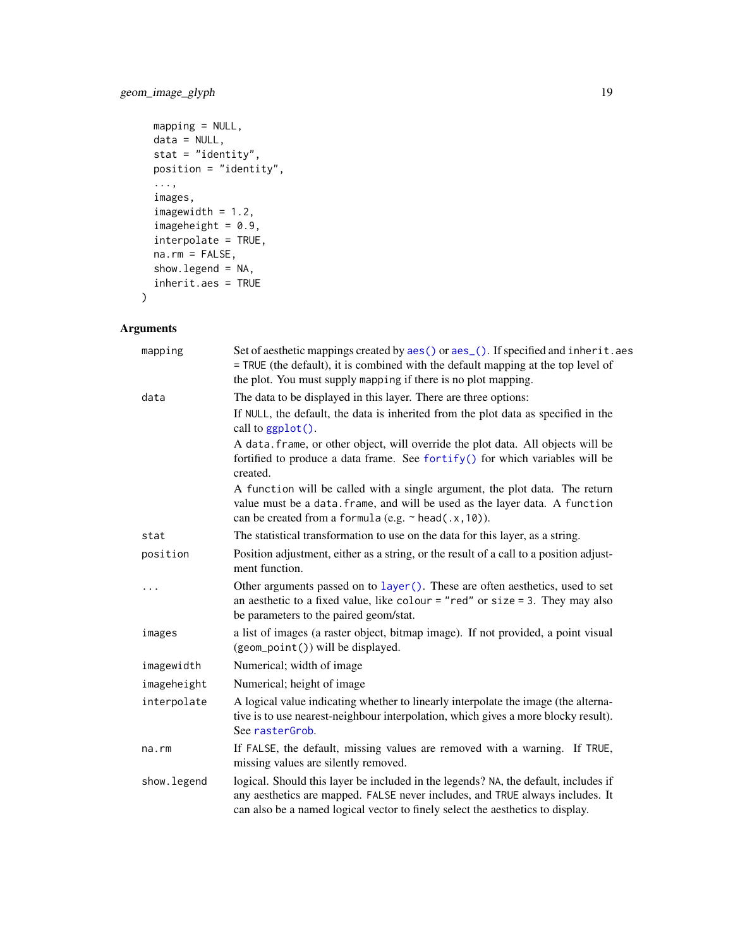```
mapping = NULL,
 data = NULL,stat = "identity",
 position = "identity",
 ...,
 images,
 imagewidth = 1.2,imageheight = 0.9,
 interpolate = TRUE,
 na.rm = FALSE,show.legend = NA,
  inherit.aes = TRUE
)
```
## Arguments

| mapping     | Set of aesthetic mappings created by aes() or aes_(). If specified and inherit.aes<br>= TRUE (the default), it is combined with the default mapping at the top level of<br>the plot. You must supply mapping if there is no plot mapping.              |
|-------------|--------------------------------------------------------------------------------------------------------------------------------------------------------------------------------------------------------------------------------------------------------|
| data        | The data to be displayed in this layer. There are three options:                                                                                                                                                                                       |
|             | If NULL, the default, the data is inherited from the plot data as specified in the<br>call to $ggplot()$ .                                                                                                                                             |
|             | A data. frame, or other object, will override the plot data. All objects will be<br>fortified to produce a data frame. See fortify() for which variables will be<br>created.                                                                           |
|             | A function will be called with a single argument, the plot data. The return<br>value must be a data. frame, and will be used as the layer data. A function<br>can be created from a formula (e.g. $\sim$ head(.x, 10)).                                |
| stat        | The statistical transformation to use on the data for this layer, as a string.                                                                                                                                                                         |
| position    | Position adjustment, either as a string, or the result of a call to a position adjust-<br>ment function.                                                                                                                                               |
| .           | Other arguments passed on to layer (). These are often aesthetics, used to set<br>an aesthetic to a fixed value, like colour = "red" or size = 3. They may also<br>be parameters to the paired geom/stat.                                              |
| images      | a list of images (a raster object, bitmap image). If not provided, a point visual<br>(geom_point()) will be displayed.                                                                                                                                 |
| imagewidth  | Numerical; width of image                                                                                                                                                                                                                              |
| imageheight | Numerical; height of image                                                                                                                                                                                                                             |
| interpolate | A logical value indicating whether to linearly interpolate the image (the alterna-<br>tive is to use nearest-neighbour interpolation, which gives a more blocky result).<br>See rasterGrob.                                                            |
| na.rm       | If FALSE, the default, missing values are removed with a warning. If TRUE,<br>missing values are silently removed.                                                                                                                                     |
| show.legend | logical. Should this layer be included in the legends? NA, the default, includes if<br>any aesthetics are mapped. FALSE never includes, and TRUE always includes. It<br>can also be a named logical vector to finely select the aesthetics to display. |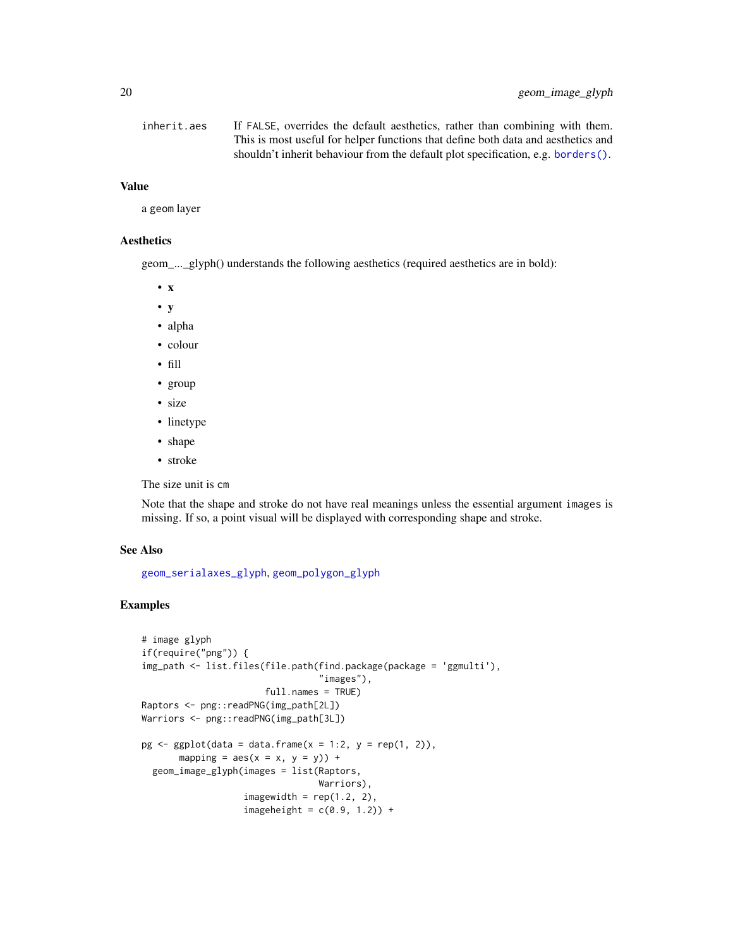<span id="page-19-0"></span>

| inherit.aes | If FALSE, overrides the default aesthetics, rather than combining with them.      |
|-------------|-----------------------------------------------------------------------------------|
|             | This is most useful for helper functions that define both data and aesthetics and |
|             | shouldn't inherit behaviour from the default plot specification, e.g. borders().  |

#### Value

a geom layer

## Aesthetics

geom\_...\_glyph() understands the following aesthetics (required aesthetics are in bold):

- x
- y
- alpha
- colour
- fill
- group
- size
- linetype
- shape
- stroke

The size unit is cm

Note that the shape and stroke do not have real meanings unless the essential argument images is missing. If so, a point visual will be displayed with corresponding shape and stroke.

#### See Also

[geom\\_serialaxes\\_glyph](#page-31-1), [geom\\_polygon\\_glyph](#page-20-1)

```
# image glyph
if(require("png")) {
img_path <- list.files(file.path(find.package(package = 'ggmulti'),
                                  "images"),
                       full.names = TRUE)
Raptors <- png::readPNG(img_path[2L])
Warriors <- png::readPNG(img_path[3L])
pg \leq ggplot(data = data frame(x = 1:2, y = rep(1, 2)),mapping = \text{aes}(x = x, y = y)) +
  geom_image_glyph(images = list(Raptors,
                                 Warriors),
                   imagewidth = rep(1.2, 2),imageheight = c(0.9, 1.2) +
```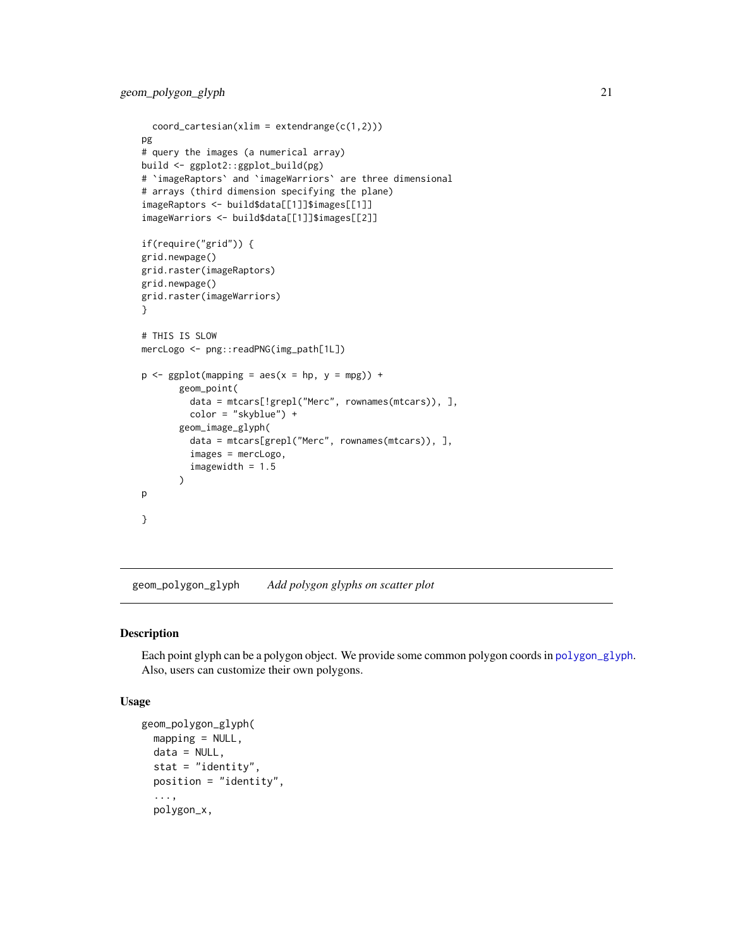```
coord\_cartesian(xlim = extendrange(c(1,2)))pg
# query the images (a numerical array)
build <- ggplot2::ggplot_build(pg)
# `imageRaptors` and `imageWarriors` are three dimensional
# arrays (third dimension specifying the plane)
imageRaptors <- build$data[[1]]$images[[1]]
imageWarriors <- build$data[[1]]$images[[2]]
if(require("grid")) {
grid.newpage()
grid.raster(imageRaptors)
grid.newpage()
grid.raster(imageWarriors)
}
# THIS IS SLOW
mercLogo <- png::readPNG(img_path[1L])
p \leq - ggplot(mapping = aes(x = hp, y = mpg)) +
       geom_point(
         data = mtcars[!grepl("Merc", rownames(mtcars)), ],
         color = "skyblue") +
       geom_image_glyph(
         data = mtcars[grepl("Merc", rownames(mtcars)), ],
         images = mercLogo,
         imagewidth = 1.5\lambdap
}
```
<span id="page-20-1"></span>geom\_polygon\_glyph *Add polygon glyphs on scatter plot*

#### Description

Each point glyph can be a polygon object. We provide some common polygon coords in [polygon\\_glyph](#page-42-1). Also, users can customize their own polygons.

#### Usage

```
geom_polygon_glyph(
 mapping = NULL,
 data = NULL,
  stat = "identity",
 position = "identity",
  ...,
 polygon_x,
```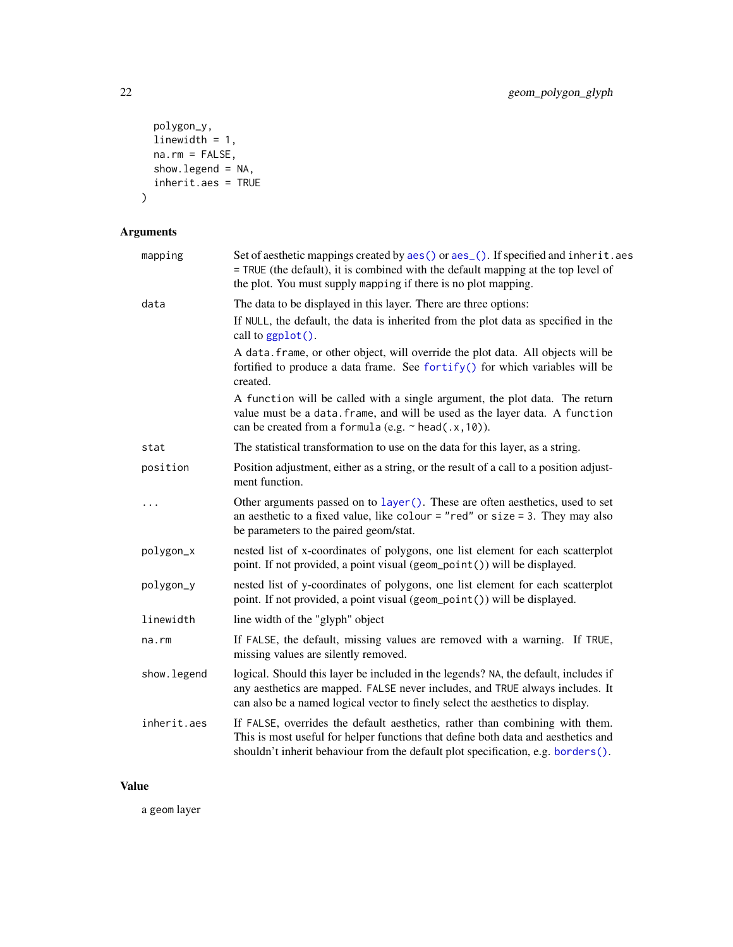```
polygon_y,
  linewidth = 1,
 na.rm = FALSE,show.legend = NA,
  inherit.aes = TRUE
\mathcal{L}
```
## Arguments

| mapping     | Set of aesthetic mappings created by aes() or aes_(). If specified and inherit.aes<br>= TRUE (the default), it is combined with the default mapping at the top level of<br>the plot. You must supply mapping if there is no plot mapping.              |
|-------------|--------------------------------------------------------------------------------------------------------------------------------------------------------------------------------------------------------------------------------------------------------|
| data        | The data to be displayed in this layer. There are three options:                                                                                                                                                                                       |
|             | If NULL, the default, the data is inherited from the plot data as specified in the<br>call to ggplot().                                                                                                                                                |
|             | A data. frame, or other object, will override the plot data. All objects will be<br>fortified to produce a data frame. See fortify() for which variables will be<br>created.                                                                           |
|             | A function will be called with a single argument, the plot data. The return<br>value must be a data. frame, and will be used as the layer data. A function<br>can be created from a formula (e.g. $\sim$ head(.x, 10)).                                |
| stat        | The statistical transformation to use on the data for this layer, as a string.                                                                                                                                                                         |
| position    | Position adjustment, either as a string, or the result of a call to a position adjust-<br>ment function.                                                                                                                                               |
| $\cdots$    | Other arguments passed on to layer (). These are often aesthetics, used to set<br>an aesthetic to a fixed value, like colour = "red" or size = 3. They may also<br>be parameters to the paired geom/stat.                                              |
| polygon_x   | nested list of x-coordinates of polygons, one list element for each scatterplot<br>point. If not provided, a point visual (geom_point()) will be displayed.                                                                                            |
| polygon_y   | nested list of y-coordinates of polygons, one list element for each scatterplot<br>point. If not provided, a point visual (geom_point()) will be displayed.                                                                                            |
| linewidth   | line width of the "glyph" object                                                                                                                                                                                                                       |
| na.rm       | If FALSE, the default, missing values are removed with a warning. If TRUE,<br>missing values are silently removed.                                                                                                                                     |
| show.legend | logical. Should this layer be included in the legends? NA, the default, includes if<br>any aesthetics are mapped. FALSE never includes, and TRUE always includes. It<br>can also be a named logical vector to finely select the aesthetics to display. |
| inherit.aes | If FALSE, overrides the default aesthetics, rather than combining with them.<br>This is most useful for helper functions that define both data and aesthetics and<br>shouldn't inherit behaviour from the default plot specification, e.g. borders().  |

## Value

a geom layer

<span id="page-21-0"></span>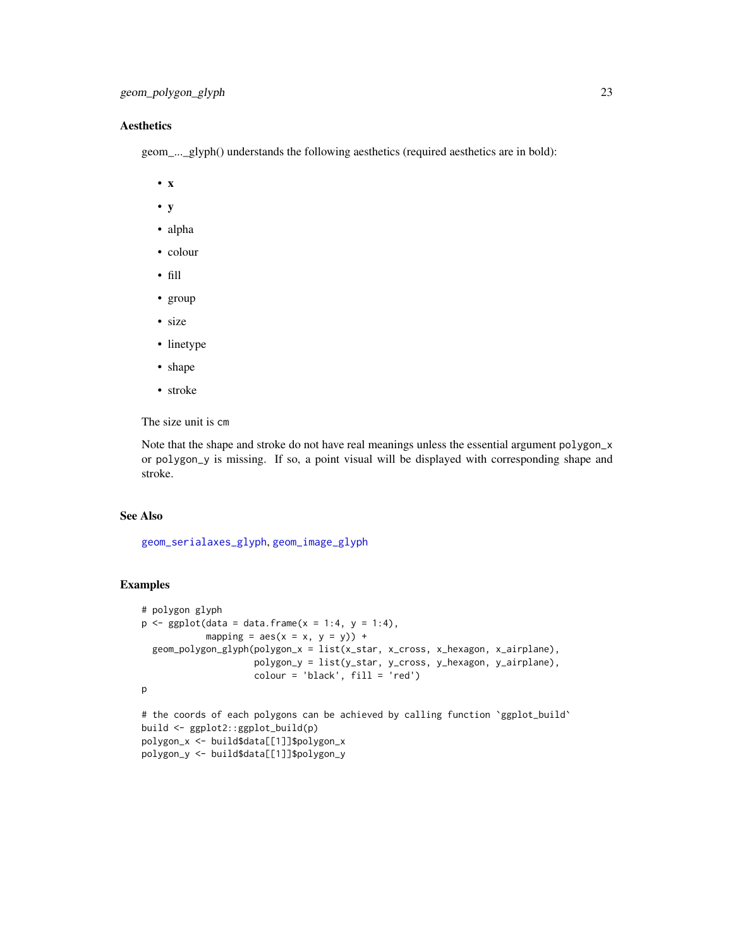## <span id="page-22-0"></span>Aesthetics

geom\_...\_glyph() understands the following aesthetics (required aesthetics are in bold):

- x
- y
- alpha
- colour
- fill
- group
- size
- linetype
- shape
- stroke

The size unit is cm

Note that the shape and stroke do not have real meanings unless the essential argument polygon\_x or polygon\_y is missing. If so, a point visual will be displayed with corresponding shape and stroke.

## See Also

[geom\\_serialaxes\\_glyph](#page-31-1), [geom\\_image\\_glyph](#page-17-1)

```
# polygon glyph
p \leftarrow ggplot(data = data-frame(x = 1:4, y = 1:4),mapping = \text{aes}(x = x, y = y)) +
 geom_polygon_glyph(polygon_x = list(x_star, x_cross, x_hexagon, x_airplane),
                     polygon_y = list(y_star, y_cross, y_hexagon, y_airplane),
                     color = 'black', fill = 'red')p
# the coords of each polygons can be achieved by calling function `ggplot_build`
build <- ggplot2::ggplot_build(p)
polygon_x <- build$data[[1]]$polygon_x
polygon_y <- build$data[[1]]$polygon_y
```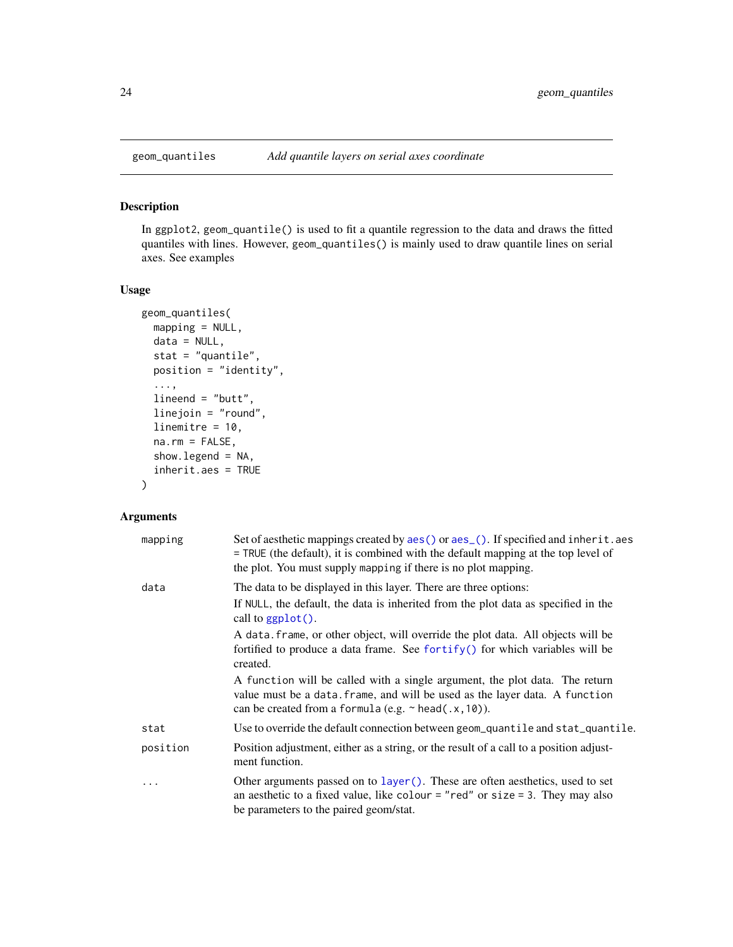## Description

In ggplot2, geom\_quantile() is used to fit a quantile regression to the data and draws the fitted quantiles with lines. However, geom\_quantiles() is mainly used to draw quantile lines on serial axes. See examples

## Usage

```
geom_quantiles(
 mapping = NULL,
 data = NULL,stat = "quantile",
 position = "identity",
  ...,
 lineend = "butt",
  linejoin = "round",
  linemitre = 10,
  na.rm = FALSE,show.legend = NA,
  inherit.aes = TRUE
\mathcal{L}
```
## Arguments

| mapping  | Set of aesthetic mappings created by aes () or aes (). If specified and inherit. aes<br>$=$ TRUE (the default), it is combined with the default mapping at the top level of<br>the plot. You must supply mapping if there is no plot mapping. |
|----------|-----------------------------------------------------------------------------------------------------------------------------------------------------------------------------------------------------------------------------------------------|
| data     | The data to be displayed in this layer. There are three options:<br>If NULL, the default, the data is inherited from the plot data as specified in the<br>call to $ggplot()$ .                                                                |
|          | A data frame, or other object, will override the plot data. All objects will be<br>fortified to produce a data frame. See for $\text{trify}()$ for which variables will be<br>created.                                                        |
|          | A function will be called with a single argument, the plot data. The return<br>value must be a data. frame, and will be used as the layer data. A function<br>can be created from a formula (e.g. $\sim$ head(.x, 10)).                       |
| stat     | Use to override the default connection between geom_quantile and stat_quantile.                                                                                                                                                               |
| position | Position adjustment, either as a string, or the result of a call to a position adjust-<br>ment function.                                                                                                                                      |
| $\cdots$ | Other arguments passed on to layer (). These are often aesthetics, used to set<br>an aesthetic to a fixed value, like colour = "red" or size = 3. They may also<br>be parameters to the paired geom/stat.                                     |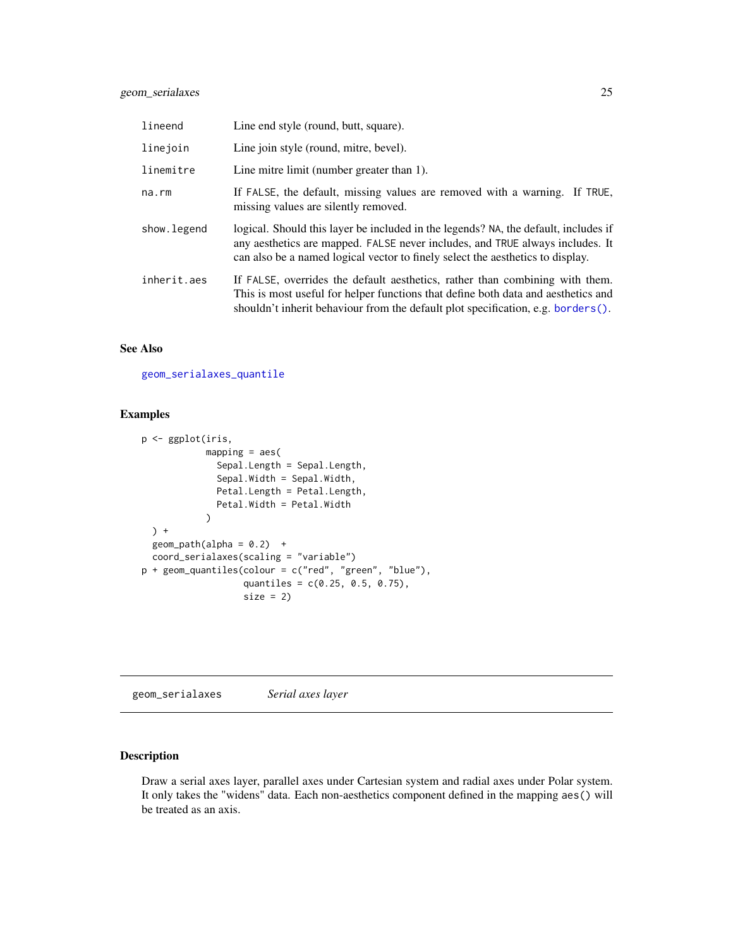<span id="page-24-0"></span>

| lineend      | Line end style (round, butt, square).                                                                                                                                                                                                                     |
|--------------|-----------------------------------------------------------------------------------------------------------------------------------------------------------------------------------------------------------------------------------------------------------|
| linejoin     | Line join style (round, mitre, bevel).                                                                                                                                                                                                                    |
| linemitre    | Line mitre limit (number greater than 1).                                                                                                                                                                                                                 |
| $na$ . $rm$  | If FALSE, the default, missing values are removed with a warning. If TRUE,<br>missing values are silently removed.                                                                                                                                        |
| show. legend | logical. Should this layer be included in the legends? NA, the default, includes if<br>any aesthetics are mapped. FALSE never includes, and TRUE always includes. It<br>can also be a named logical vector to finely select the aesthetics to display.    |
| inherit.aes  | If FALSE, overrides the default aesthetics, rather than combining with them.<br>This is most useful for helper functions that define both data and aesthetics and<br>shouldn't inherit behaviour from the default plot specification, e.g. borders $()$ . |

## See Also

[geom\\_serialaxes\\_quantile](#page-37-1)

## Examples

```
p <- ggplot(iris,
           mapping = aes(
             Sepal.Length = Sepal.Length,
             Sepal.Width = Sepal.Width,
             Petal.Length = Petal.Length,
             Petal.Width = Petal.Width
           )
 ) +geom\_path(alpha = 0.2) +coord_serialaxes(scaling = "variable")
p + geom_quantiles(colour = c("red", "green", "blue"),
                  quantiles = c(0.25, 0.5, 0.75),
                  size = 2)
```
<span id="page-24-1"></span>geom\_serialaxes *Serial axes layer*

## Description

Draw a serial axes layer, parallel axes under Cartesian system and radial axes under Polar system. It only takes the "widens" data. Each non-aesthetics component defined in the mapping aes() will be treated as an axis.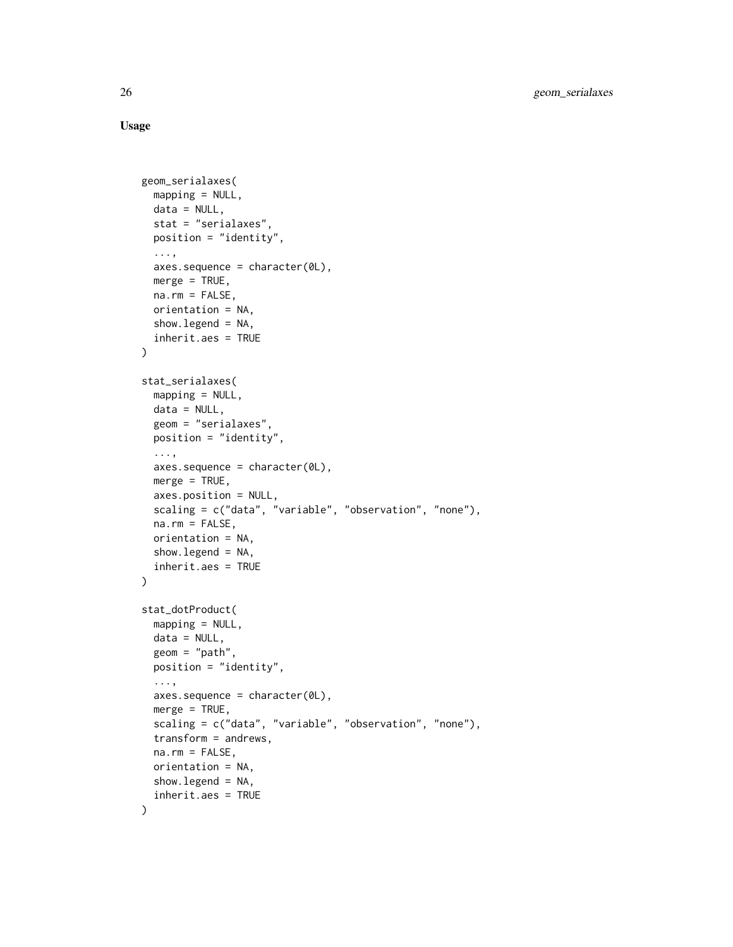Usage

```
geom_serialaxes(
 mapping = NULL,
 data = NULL,
  stat = "serialaxes",
 position = "identity",
  ...,
  axes.\nsequence = character(\Theta_L),merge = TRUE,
 na.rm = FALSE,
  orientation = NA,
  show.legend = NA,
  inherit.aes = TRUE
\lambdastat_serialaxes(
 mapping = NULL,
 data = NULL,
  geom = "serialaxes",
 position = "identity",
  ...,
  axes.sequence = character(0L),
 merge = TRUE,
  axes.position = NULL,
  scaling = c("data", "variable", "observation", "none"),
  na.rm = FALSE,
 orientation = NA,
  show.legend = NA,
  inherit.aes = TRUE
\mathcal{L}stat_dotProduct(
  mapping = NULL,
 data = NULL,
  geom = "path",position = "identity",
  ...,
  axes.sequence = character(0L),
  merge = TRUE,
  scaling = c("data", "variable", "observation", "none"),
  transform = andrews,
  na.rm = FALSE,
  orientation = NA,
  show.legend = NA,
  inherit.aes = TRUE
)
```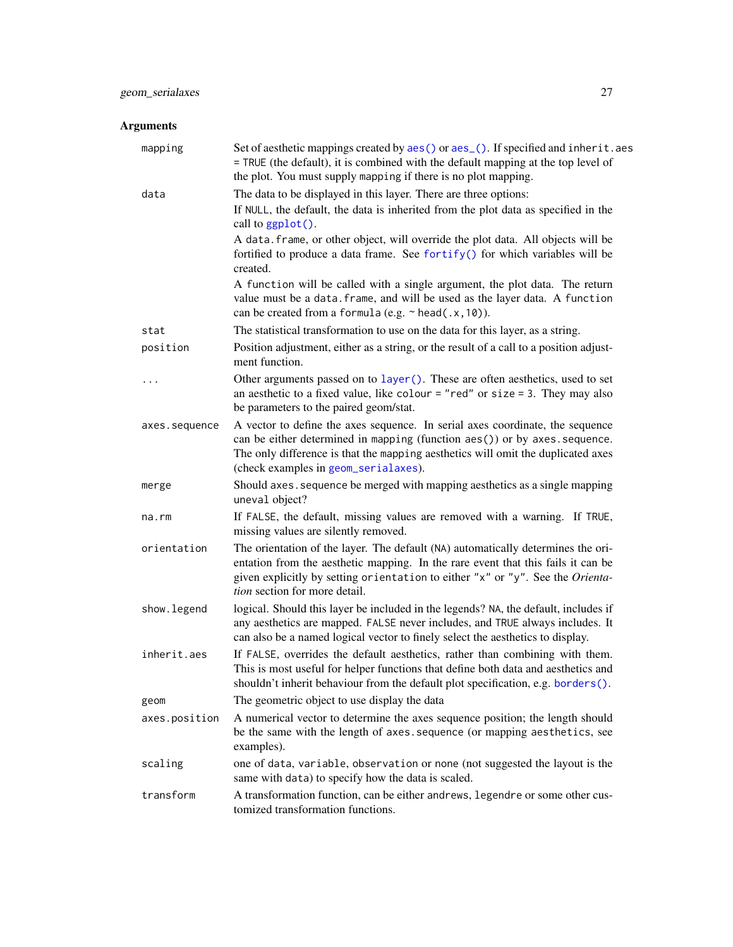## <span id="page-26-0"></span>Arguments

| mapping       | Set of aesthetic mappings created by aes() or aes_(). If specified and inherit.aes<br>= TRUE (the default), it is combined with the default mapping at the top level of<br>the plot. You must supply mapping if there is no plot mapping.                                                      |
|---------------|------------------------------------------------------------------------------------------------------------------------------------------------------------------------------------------------------------------------------------------------------------------------------------------------|
| data          | The data to be displayed in this layer. There are three options:<br>If NULL, the default, the data is inherited from the plot data as specified in the<br>call to ggplot().<br>A data. frame, or other object, will override the plot data. All objects will be                                |
|               | fortified to produce a data frame. See fortify() for which variables will be<br>created.                                                                                                                                                                                                       |
|               | A function will be called with a single argument, the plot data. The return<br>value must be a data. frame, and will be used as the layer data. A function<br>can be created from a formula (e.g. $\sim$ head(.x, 10)).                                                                        |
| stat          | The statistical transformation to use on the data for this layer, as a string.                                                                                                                                                                                                                 |
| position      | Position adjustment, either as a string, or the result of a call to a position adjust-<br>ment function.                                                                                                                                                                                       |
| $\cdots$      | Other arguments passed on to layer (). These are often aesthetics, used to set<br>an aesthetic to a fixed value, like colour = "red" or size = 3. They may also<br>be parameters to the paired geom/stat.                                                                                      |
| axes.sequence | A vector to define the axes sequence. In serial axes coordinate, the sequence<br>can be either determined in mapping (function $aes()$ ) or by axes. sequence.<br>The only difference is that the mapping aesthetics will omit the duplicated axes<br>(check examples in geom_serialaxes).     |
| merge         | Should axes. sequence be merged with mapping aesthetics as a single mapping<br>uneval object?                                                                                                                                                                                                  |
| na.rm         | If FALSE, the default, missing values are removed with a warning. If TRUE,<br>missing values are silently removed.                                                                                                                                                                             |
| orientation   | The orientation of the layer. The default (NA) automatically determines the ori-<br>entation from the aesthetic mapping. In the rare event that this fails it can be<br>given explicitly by setting orientation to either "x" or "y". See the Orienta-<br><i>tion</i> section for more detail. |
| show. legend  | logical. Should this layer be included in the legends? NA, the default, includes if<br>any aesthetics are mapped. FALSE never includes, and TRUE always includes. It<br>can also be a named logical vector to finely select the aesthetics to display.                                         |
| inherit.aes   | If FALSE, overrides the default aesthetics, rather than combining with them.<br>This is most useful for helper functions that define both data and aesthetics and<br>shouldn't inherit behaviour from the default plot specification, e.g. borders().                                          |
| geom          | The geometric object to use display the data                                                                                                                                                                                                                                                   |
| axes.position | A numerical vector to determine the axes sequence position; the length should<br>be the same with the length of axes. sequence (or mapping aesthetics, see<br>examples).                                                                                                                       |
| scaling       | one of data, variable, observation or none (not suggested the layout is the<br>same with data) to specify how the data is scaled.                                                                                                                                                              |
| transform     | A transformation function, can be either andrews, legendre or some other cus-<br>tomized transformation functions.                                                                                                                                                                             |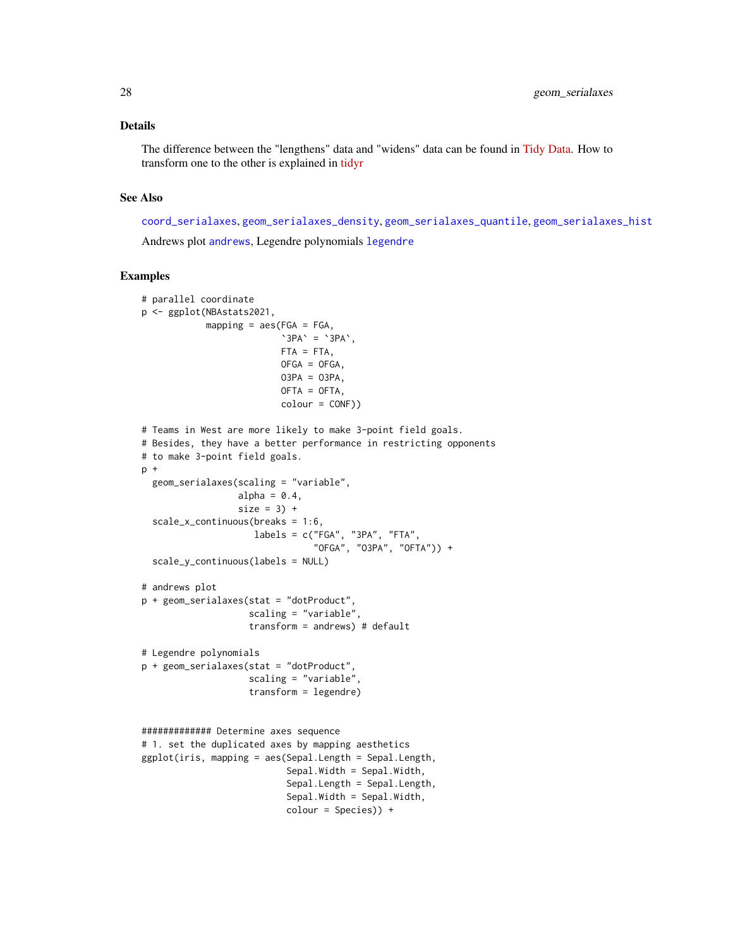#### <span id="page-27-0"></span>Details

The difference between the "lengthens" data and "widens" data can be found in [Tidy Data.](http://vita.had.co.nz/papers/tidy-data.pdf) How to transform one to the other is explained in [tidyr](https://tidyr.tidyverse.org/articles/pivot.html)

#### See Also

[coord\\_serialaxes](#page-3-1), [geom\\_serialaxes\\_density](#page-28-1), [geom\\_serialaxes\\_quantile](#page-37-1), [geom\\_serialaxes\\_hist](#page-34-1) Andrews plot [andrews](#page-4-1), Legendre polynomials [legendre](#page-4-1)

```
# parallel coordinate
p <- ggplot(NBAstats2021,
            mapping = aes(FGA = FGA)\text{`3PA'} = \text{`3PA'},FTA = FTA,OFGA = OFGA.
                          03PA = 03PA,
                          OFTA = OFTA,
                          colour = CONF))
# Teams in West are more likely to make 3-point field goals.
# Besides, they have a better performance in restricting opponents
# to make 3-point field goals.
p +geom_serialaxes(scaling = "variable",
                  alpha = 0.4,
                  size = 3) +scale_x_continuous(breaks = 1:6,
                     labels = c("FGA", "3PA", "FTA","OFGA", "O3PA", "OFTA")) +
 scale_y_continuous(labels = NULL)
# andrews plot
p + geom_serialaxes(stat = "dotProduct",
                    scaling = "variable",
                    transform = andrews) # default
# Legendre polynomials
p + geom_serialaxes(stat = "dotProduct",
                    scaling = "variable",
                    transform = legendre)
############# Determine axes sequence
# 1. set the duplicated axes by mapping aesthetics
ggplot(iris, mapping = aes(Sepal.Length = Sepal.Length,
                           Sepal.Width = Sepal.Width,
                           Sepal.Length = Sepal.Length,
                           Sepal.Width = Sepal.Width,
                           colour = Species)) +
```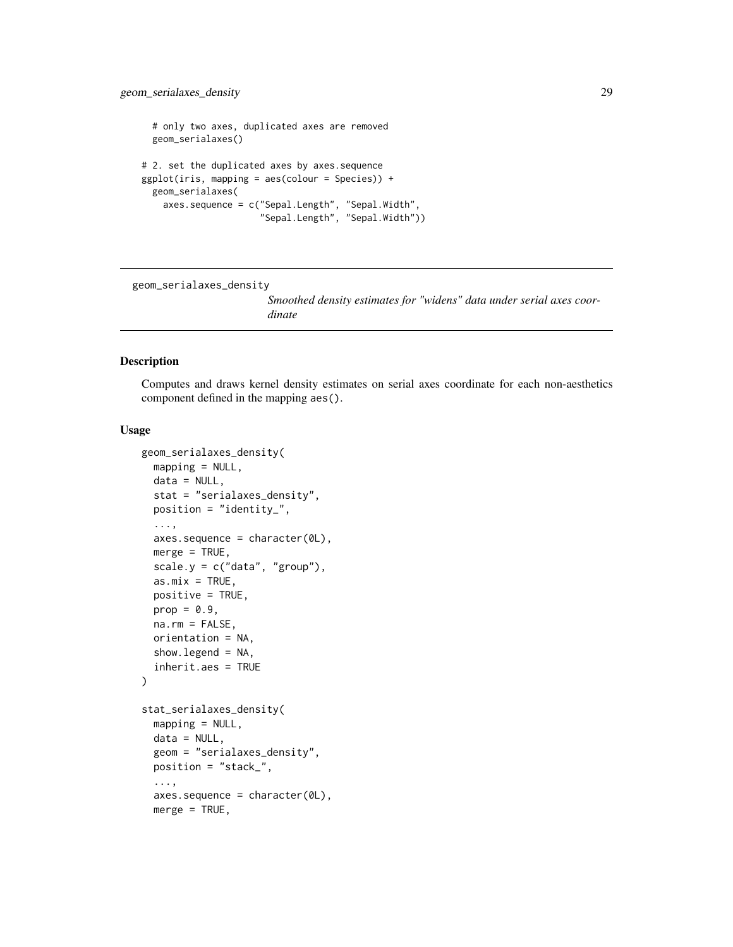```
# only two axes, duplicated axes are removed
 geom_serialaxes()
# 2. set the duplicated axes by axes.sequence
ggplot(iris, mapping = aes(colour = Species)) +geom_serialaxes(
   axes.sequence = c("Sepal.Length", "Sepal.Width",
                      "Sepal.Length", "Sepal.Width"))
```
<span id="page-28-1"></span>geom\_serialaxes\_density

*Smoothed density estimates for "widens" data under serial axes coordinate*

#### Description

Computes and draws kernel density estimates on serial axes coordinate for each non-aesthetics component defined in the mapping aes().

#### Usage

```
geom_serialaxes_density(
  mapping = NULL,
 data = NULL,
 stat = "serialaxes_density",
 position = "identity_",
  ...,
 axes.sequence = character(0L),
 merge = TRUE,scale.y = c("data", "group"),as.mix = TRUE,positive = TRUE,
 prop = 0.9,
 na.rm = FALSE,orientation = NA,
  show.legend = NA,
  inherit.aes = TRUE
)
stat_serialaxes_density(
 mapping = NULL,
 data = NULL,geom = "serialaxes_density",
 position = "stack_",
  ...,
  axes.\nsequence = character(\mathcal{O}L),merge = TRUE,
```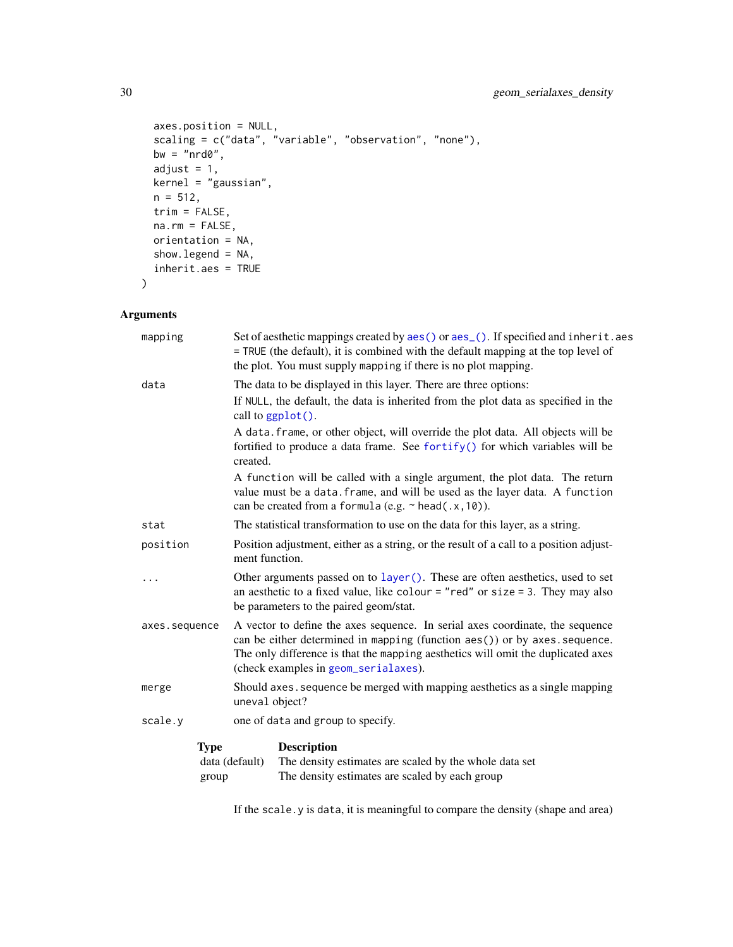```
axes.position = NULL,
 scaling = c("data", "variable", "observation", "none"),
 bw = "nrd0",adjust = 1,kernel = "gaussian",
 n = 512,trim = FALSE,
 na.rm = FALSE,
 orientation = NA,
 show.legend = NA,
 inherit.aes = TRUE
)
```
## Arguments

| mapping       |             |                | Set of aesthetic mappings created by aes() or aes_(). If specified and inherit.aes<br>= TRUE (the default), it is combined with the default mapping at the top level of<br>the plot. You must supply mapping if there is no plot mapping.                                                  |
|---------------|-------------|----------------|--------------------------------------------------------------------------------------------------------------------------------------------------------------------------------------------------------------------------------------------------------------------------------------------|
| data          |             |                | The data to be displayed in this layer. There are three options:                                                                                                                                                                                                                           |
|               |             |                | If NULL, the default, the data is inherited from the plot data as specified in the<br>call to ggplot().                                                                                                                                                                                    |
|               |             | created.       | A data. frame, or other object, will override the plot data. All objects will be<br>fortified to produce a data frame. See fortify() for which variables will be                                                                                                                           |
|               |             |                | A function will be called with a single argument, the plot data. The return<br>value must be a data. frame, and will be used as the layer data. A function<br>can be created from a formula (e.g. $\sim$ head(.x, 10)).                                                                    |
| stat          |             |                | The statistical transformation to use on the data for this layer, as a string.                                                                                                                                                                                                             |
| position      |             | ment function. | Position adjustment, either as a string, or the result of a call to a position adjust-                                                                                                                                                                                                     |
| .             |             |                | Other arguments passed on to layer (). These are often aesthetics, used to set<br>an aesthetic to a fixed value, like colour = "red" or size = 3. They may also<br>be parameters to the paired geom/stat.                                                                                  |
| axes.sequence |             |                | A vector to define the axes sequence. In serial axes coordinate, the sequence<br>can be either determined in mapping (function $aes()$ ) or by axes. sequence.<br>The only difference is that the mapping aesthetics will omit the duplicated axes<br>(check examples in geom_serialaxes). |
| merge         |             | uneval object? | Should axes, sequence be merged with mapping aesthetics as a single mapping                                                                                                                                                                                                                |
| scale.y       |             |                | one of data and group to specify.                                                                                                                                                                                                                                                          |
|               | <b>Type</b> |                | <b>Description</b>                                                                                                                                                                                                                                                                         |
|               |             | data (default) | The density estimates are scaled by the whole data set                                                                                                                                                                                                                                     |
|               | group       |                | The density estimates are scaled by each group                                                                                                                                                                                                                                             |

If the scale.y is data, it is meaningful to compare the density (shape and area)

<span id="page-29-0"></span>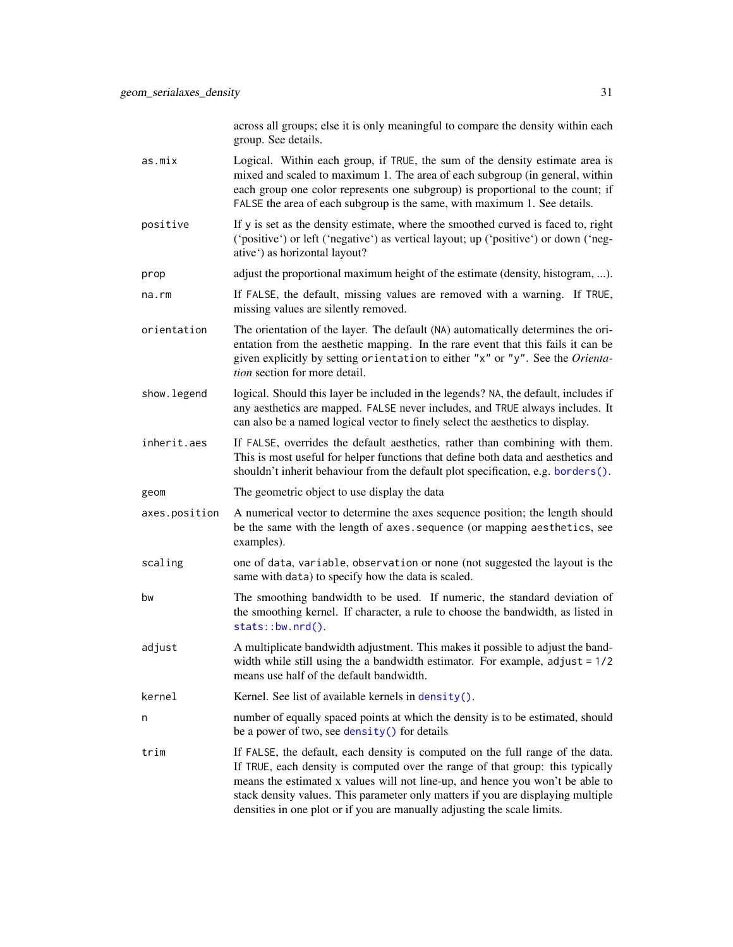across all groups; else it is only meaningful to compare the density within each group. See details.

- <span id="page-30-0"></span>as.mix Logical. Within each group, if TRUE, the sum of the density estimate area is mixed and scaled to maximum 1. The area of each subgroup (in general, within each group one color represents one subgroup) is proportional to the count; if FALSE the area of each subgroup is the same, with maximum 1. See details.
- positive If y is set as the density estimate, where the smoothed curved is faced to, right ('positive') or left ('negative') as vertical layout; up ('positive') or down ('negative') as horizontal layout?
- prop adjust the proportional maximum height of the estimate (density, histogram, ...).
- na.rm If FALSE, the default, missing values are removed with a warning. If TRUE, missing values are silently removed.
- orientation The orientation of the layer. The default (NA) automatically determines the orientation from the aesthetic mapping. In the rare event that this fails it can be given explicitly by setting orientation to either "x" or "y". See the *Orientation* section for more detail.
- show. legend logical. Should this layer be included in the legends? NA, the default, includes if any aesthetics are mapped. FALSE never includes, and TRUE always includes. It can also be a named logical vector to finely select the aesthetics to display.
- inherit.aes If FALSE, overrides the default aesthetics, rather than combining with them. This is most useful for helper functions that define both data and aesthetics and shouldn't inherit behaviour from the default plot specification, e.g. [borders\(\)](#page-0-0).
- geom The geometric object to use display the data
- axes.position A numerical vector to determine the axes sequence position; the length should be the same with the length of axes.sequence (or mapping aesthetics, see examples).
- scaling one of data, variable, observation or none (not suggested the layout is the same with data) to specify how the data is scaled.
- bw The smoothing bandwidth to be used. If numeric, the standard deviation of the smoothing kernel. If character, a rule to choose the bandwidth, as listed in [stats::bw.nrd\(\)](#page-0-0).
- adjust A multiplicate bandwidth adjustment. This makes it possible to adjust the bandwidth while still using the a bandwidth estimator. For example, adjust  $= 1/2$ means use half of the default bandwidth.
- kernel Kernel. See list of available kernels in [density\(\)](#page-0-0).
- n number of equally spaced points at which the density is to be estimated, should be a power of two, see [density\(\)](#page-0-0) for details
- trim If FALSE, the default, each density is computed on the full range of the data. If TRUE, each density is computed over the range of that group: this typically means the estimated x values will not line-up, and hence you won't be able to stack density values. This parameter only matters if you are displaying multiple densities in one plot or if you are manually adjusting the scale limits.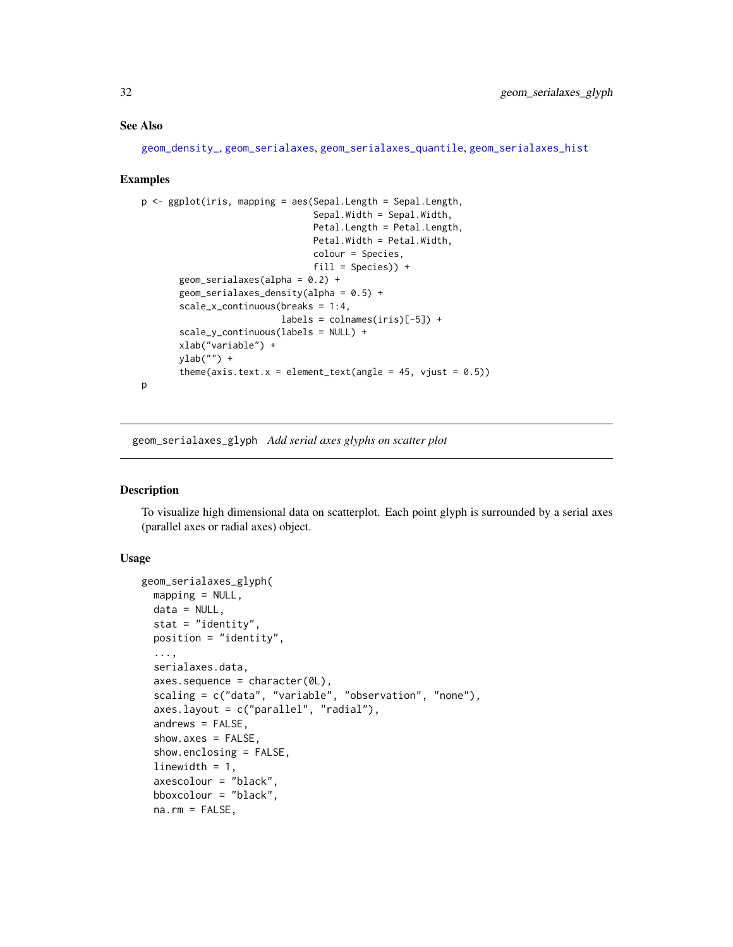#### <span id="page-31-0"></span>See Also

```
geom_density_, geom_serialaxes, geom_serialaxes_quantile, geom_serialaxes_hist
```
#### Examples

```
p \leq - ggplot(iris, mapping = aes(Sepal.Length = Sepal.Length,
                                Sepal.Width = Sepal.Width,
                                Petal.Length = Petal.Length,
                                Petal.Width = Petal.Width,
                                colour = Species,
                                fill = Species)) +
       geom_serialaxes(alpha = 0.2) +
       geom_serialaxes_density(alpha = 0.5) +
       scale_x_continuous(breaks = 1:4,
                          labels = colnames(iris)[-5]) +
       scale_y_continuous(labels = NULL) +
       xlab("variable") +
       ylab("") +
       theme(axis.text.x = element_text(angle = 45, vjust = 0.5))
p
```
<span id="page-31-1"></span>geom\_serialaxes\_glyph *Add serial axes glyphs on scatter plot*

#### Description

To visualize high dimensional data on scatterplot. Each point glyph is surrounded by a serial axes (parallel axes or radial axes) object.

### Usage

```
geom_serialaxes_glyph(
 mapping = NULL,data = NULL,
  stat = "identity",
 position = "identity",
  ...,
  serialaxes.data,
  axes.\nsequence = character(\n@L),scaling = c("data", "variable", "observation", "none"),
  axes.layout = c("parallel", "radial"),
  andrews = FALSE,
  show.axes = FALSE,
  show.enclosing = FALSE,
  linewidth = 1,
  axescolour = "black",
 bboxcolour = "black",
 na.rm = FALSE,
```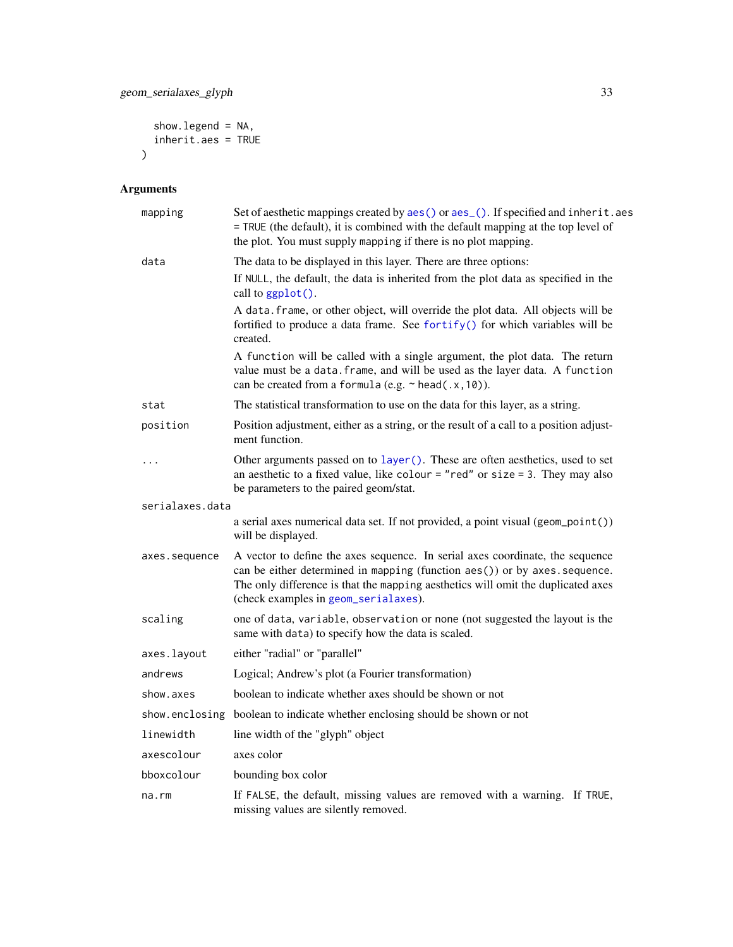```
showu = NA,
   inherit.aes = TRUE
\overline{\phantom{a}}
```
## Arguments

| mapping         | Set of aesthetic mappings created by aes() or aes_(). If specified and inherit.aes<br>= TRUE (the default), it is combined with the default mapping at the top level of<br>the plot. You must supply mapping if there is no plot mapping.                                               |
|-----------------|-----------------------------------------------------------------------------------------------------------------------------------------------------------------------------------------------------------------------------------------------------------------------------------------|
| data            | The data to be displayed in this layer. There are three options:                                                                                                                                                                                                                        |
|                 | If NULL, the default, the data is inherited from the plot data as specified in the<br>call to ggplot().                                                                                                                                                                                 |
|                 | A data. frame, or other object, will override the plot data. All objects will be<br>fortified to produce a data frame. See fortify() for which variables will be<br>created.                                                                                                            |
|                 | A function will be called with a single argument, the plot data. The return<br>value must be a data. frame, and will be used as the layer data. A function<br>can be created from a formula (e.g. $\sim$ head(.x, 10)).                                                                 |
| stat            | The statistical transformation to use on the data for this layer, as a string.                                                                                                                                                                                                          |
| position        | Position adjustment, either as a string, or the result of a call to a position adjust-<br>ment function.                                                                                                                                                                                |
| .               | Other arguments passed on to layer (). These are often aesthetics, used to set<br>an aesthetic to a fixed value, like colour = "red" or size = $3$ . They may also<br>be parameters to the paired geom/stat.                                                                            |
| serialaxes.data |                                                                                                                                                                                                                                                                                         |
|                 | a serial axes numerical data set. If not provided, a point visual (geom_point())<br>will be displayed.                                                                                                                                                                                  |
| axes.sequence   | A vector to define the axes sequence. In serial axes coordinate, the sequence<br>can be either determined in mapping (function aes()) or by axes. sequence.<br>The only difference is that the mapping aesthetics will omit the duplicated axes<br>(check examples in geom_serialaxes). |
| scaling         | one of data, variable, observation or none (not suggested the layout is the<br>same with data) to specify how the data is scaled.                                                                                                                                                       |
| axes.layout     | either "radial" or "parallel"                                                                                                                                                                                                                                                           |
| andrews         | Logical; Andrew's plot (a Fourier transformation)                                                                                                                                                                                                                                       |
| show.axes       | boolean to indicate whether axes should be shown or not                                                                                                                                                                                                                                 |
| show.enclosing  | boolean to indicate whether enclosing should be shown or not                                                                                                                                                                                                                            |
| linewidth       | line width of the "glyph" object                                                                                                                                                                                                                                                        |
| axescolour      | axes color                                                                                                                                                                                                                                                                              |
| bboxcolour      | bounding box color                                                                                                                                                                                                                                                                      |
| $na$ . $rm$     | If FALSE, the default, missing values are removed with a warning. If TRUE,<br>missing values are silently removed.                                                                                                                                                                      |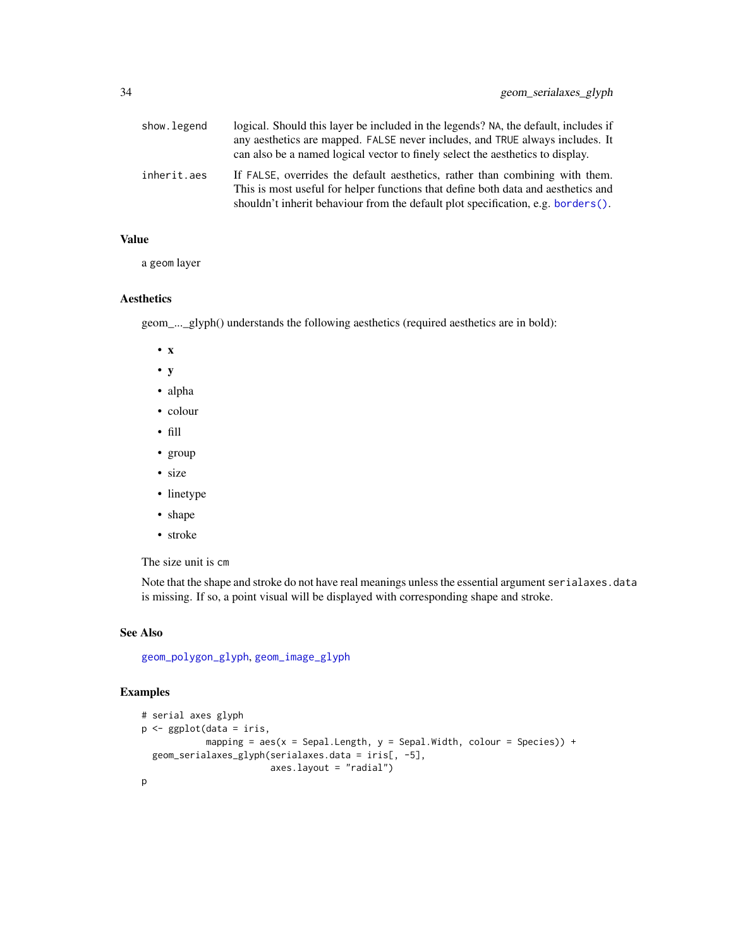<span id="page-33-0"></span>

| show.legend | logical. Should this layer be included in the legends? NA, the default, includes if<br>any aesthetics are mapped. FALSE never includes, and TRUE always includes. It<br>can also be a named logical vector to finely select the aesthetics to display. |
|-------------|--------------------------------------------------------------------------------------------------------------------------------------------------------------------------------------------------------------------------------------------------------|
| inherit.aes | If FALSE, overrides the default aesthetics, rather than combining with them.<br>This is most useful for helper functions that define both data and aesthetics and<br>shouldn't inherit behaviour from the default plot specification, e.g. borders().  |

## Value

a geom layer

## Aesthetics

geom\_...\_glyph() understands the following aesthetics (required aesthetics are in bold):

- x
- y
- alpha
- colour
- fill
- group
- size
- linetype
- shape
- stroke

The size unit is cm

Note that the shape and stroke do not have real meanings unless the essential argument serialaxes.data is missing. If so, a point visual will be displayed with corresponding shape and stroke.

#### See Also

[geom\\_polygon\\_glyph](#page-20-1), [geom\\_image\\_glyph](#page-17-1)

```
# serial axes glyph
p <- ggplot(data = iris,
           mapping = aes(x = Sepal.length, y = Sepal.Width, colour = Species)) +geom_serialaxes_glyph(serialaxes.data = iris[, -5],
                       axes.layout = "radial")
p
```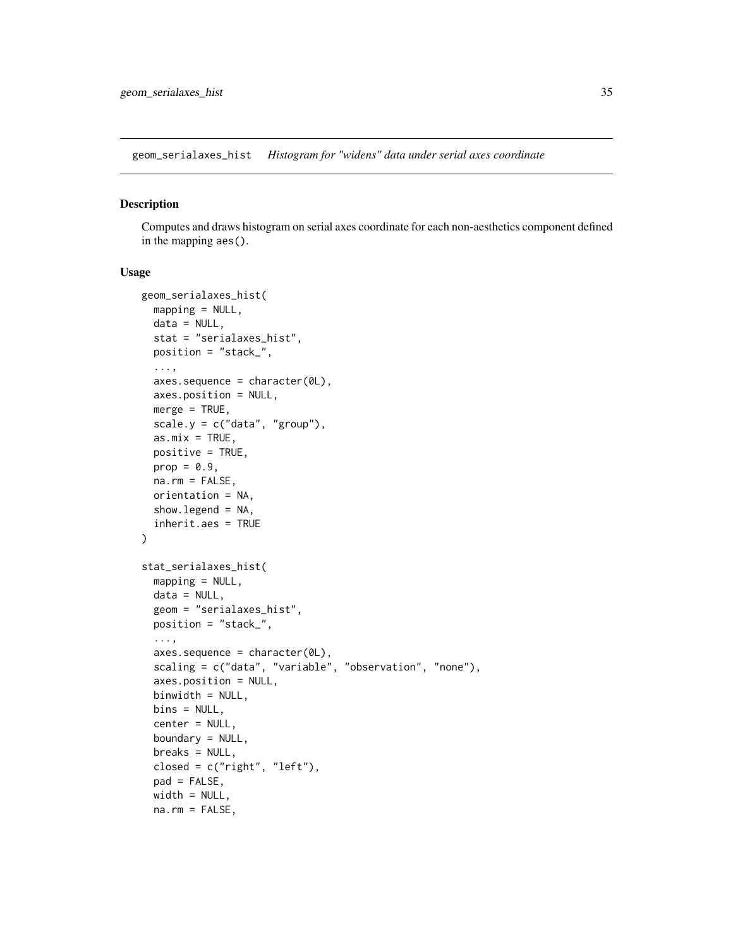<span id="page-34-1"></span><span id="page-34-0"></span>geom\_serialaxes\_hist *Histogram for "widens" data under serial axes coordinate*

#### Description

Computes and draws histogram on serial axes coordinate for each non-aesthetics component defined in the mapping aes().

#### Usage

```
geom_serialaxes_hist(
 mapping = NULL,data = NULL,
  stat = "serialaxes_hist",
 position = "stack_",
  ...,
  axes.\nsequence = character(\mathcal{O}L),axes.position = NULL,
 merge = TRUE,
  scale.y = c("data", "group"),as.mix = TRUE,positive = TRUE,
 prop = 0.9,
 na.rm = FALSE,
 orientation = NA,
  show.legend = NA,
  inherit.aes = TRUE
)
stat_serialaxes_hist(
 mapping = NULL,
 data = NULL,geom = "serialaxes_hist",
 position = "stack_",
  ...,
  axes.\nsequence = character(\mathcal{O}L),scaling = c("data", "variable", "observation", "none"),
  axes.position = NULL,
 binwidth = NULL,bins = NULL,
  center = NULL,
 boundary = NULL,
 breaks = NULL,
  closed = c("right", "left"),
 pad = FALSE,
 width = NULL,na.rm = FALSE,
```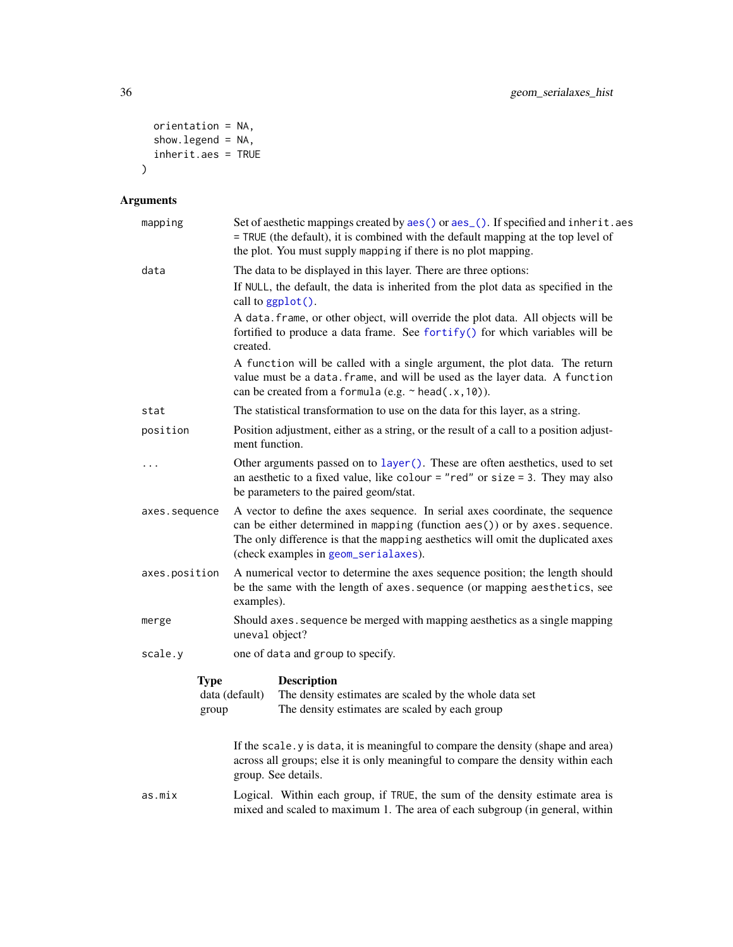```
orientation = NA,
  show.legend = NA,
  inherit.aes = TRUE
\mathcal{L}
```
## Arguments

| mapping              | Set of aesthetic mappings created by aes() or aes_(). If specified and inherit.aes<br>= TRUE (the default), it is combined with the default mapping at the top level of<br>the plot. You must supply mapping if there is no plot mapping.                                               |  |
|----------------------|-----------------------------------------------------------------------------------------------------------------------------------------------------------------------------------------------------------------------------------------------------------------------------------------|--|
| data                 | The data to be displayed in this layer. There are three options:                                                                                                                                                                                                                        |  |
|                      | If NULL, the default, the data is inherited from the plot data as specified in the<br>call to ggplot().                                                                                                                                                                                 |  |
|                      | A data. frame, or other object, will override the plot data. All objects will be<br>fortified to produce a data frame. See fortify() for which variables will be<br>created.                                                                                                            |  |
|                      | A function will be called with a single argument, the plot data. The return<br>value must be a data. frame, and will be used as the layer data. A function<br>can be created from a formula (e.g. $\sim$ head(.x, 10)).                                                                 |  |
| stat                 | The statistical transformation to use on the data for this layer, as a string.                                                                                                                                                                                                          |  |
| position             | Position adjustment, either as a string, or the result of a call to a position adjust-<br>ment function.                                                                                                                                                                                |  |
| .                    | Other arguments passed on to layer (). These are often aesthetics, used to set<br>an aesthetic to a fixed value, like colour = "red" or size = 3. They may also<br>be parameters to the paired geom/stat.                                                                               |  |
| axes.sequence        | A vector to define the axes sequence. In serial axes coordinate, the sequence<br>can be either determined in mapping (function aes()) or by axes. sequence.<br>The only difference is that the mapping aesthetics will omit the duplicated axes<br>(check examples in geom_serialaxes). |  |
| axes.position        | A numerical vector to determine the axes sequence position; the length should<br>be the same with the length of axes. sequence (or mapping aesthetics, see<br>examples).                                                                                                                |  |
| merge                | Should axes . sequence be merged with mapping aesthetics as a single mapping<br>uneval object?                                                                                                                                                                                          |  |
| scale.y              | one of data and group to specify.                                                                                                                                                                                                                                                       |  |
| <b>Type</b><br>group | <b>Description</b><br>data (default)<br>The density estimates are scaled by the whole data set<br>The density estimates are scaled by each group                                                                                                                                        |  |
|                      | If the scale. y is data, it is meaningful to compare the density (shape and area)<br>across all groups; else it is only meaningful to compare the density within each<br>group. See details.                                                                                            |  |
| as.mix               | Logical. Within each group, if TRUE, the sum of the density estimate area is<br>mixed and scaled to maximum 1. The area of each subgroup (in general, within                                                                                                                            |  |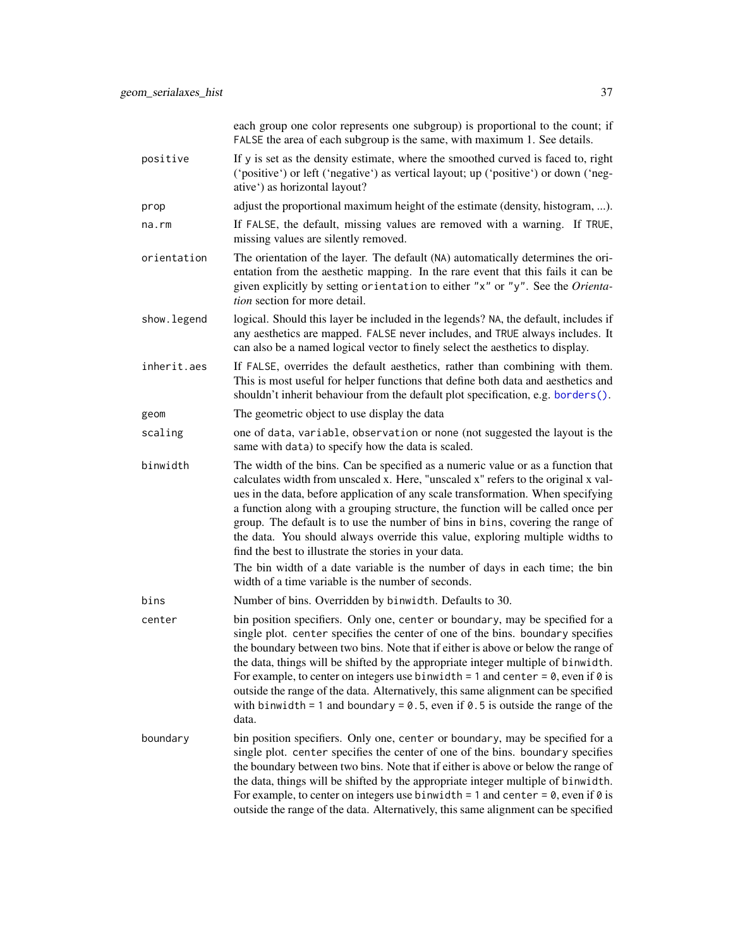<span id="page-36-0"></span>

|             | each group one color represents one subgroup) is proportional to the count; if<br>FALSE the area of each subgroup is the same, with maximum 1. See details.                                                                                                                                                                                                                                                                                                                                                                                                                                                                                                |
|-------------|------------------------------------------------------------------------------------------------------------------------------------------------------------------------------------------------------------------------------------------------------------------------------------------------------------------------------------------------------------------------------------------------------------------------------------------------------------------------------------------------------------------------------------------------------------------------------------------------------------------------------------------------------------|
| positive    | If y is set as the density estimate, where the smoothed curved is faced to, right<br>('positive') or left ('negative') as vertical layout; up ('positive') or down ('neg-<br>ative') as horizontal layout?                                                                                                                                                                                                                                                                                                                                                                                                                                                 |
| prop        | adjust the proportional maximum height of the estimate (density, histogram, ).                                                                                                                                                                                                                                                                                                                                                                                                                                                                                                                                                                             |
| na.rm       | If FALSE, the default, missing values are removed with a warning. If TRUE,<br>missing values are silently removed.                                                                                                                                                                                                                                                                                                                                                                                                                                                                                                                                         |
| orientation | The orientation of the layer. The default (NA) automatically determines the ori-<br>entation from the aesthetic mapping. In the rare event that this fails it can be<br>given explicitly by setting orientation to either "x" or "y". See the Orienta-<br>tion section for more detail.                                                                                                                                                                                                                                                                                                                                                                    |
| show.legend | logical. Should this layer be included in the legends? NA, the default, includes if<br>any aesthetics are mapped. FALSE never includes, and TRUE always includes. It<br>can also be a named logical vector to finely select the aesthetics to display.                                                                                                                                                                                                                                                                                                                                                                                                     |
| inherit.aes | If FALSE, overrides the default aesthetics, rather than combining with them.<br>This is most useful for helper functions that define both data and aesthetics and<br>shouldn't inherit behaviour from the default plot specification, e.g. borders().                                                                                                                                                                                                                                                                                                                                                                                                      |
| geom        | The geometric object to use display the data                                                                                                                                                                                                                                                                                                                                                                                                                                                                                                                                                                                                               |
| scaling     | one of data, variable, observation or none (not suggested the layout is the<br>same with data) to specify how the data is scaled.                                                                                                                                                                                                                                                                                                                                                                                                                                                                                                                          |
| binwidth    | The width of the bins. Can be specified as a numeric value or as a function that<br>calculates width from unscaled x. Here, "unscaled x" refers to the original x val-<br>ues in the data, before application of any scale transformation. When specifying<br>a function along with a grouping structure, the function will be called once per<br>group. The default is to use the number of bins in bins, covering the range of<br>the data. You should always override this value, exploring multiple widths to<br>find the best to illustrate the stories in your data.<br>The bin width of a date variable is the number of days in each time; the bin |
|             | width of a time variable is the number of seconds.                                                                                                                                                                                                                                                                                                                                                                                                                                                                                                                                                                                                         |
| bins        | Number of bins. Overridden by binwidth. Defaults to 30.                                                                                                                                                                                                                                                                                                                                                                                                                                                                                                                                                                                                    |
| center      | bin position specifiers. Only one, center or boundary, may be specified for a<br>single plot. center specifies the center of one of the bins. boundary specifies<br>the boundary between two bins. Note that if either is above or below the range of<br>the data, things will be shifted by the appropriate integer multiple of binwidth.<br>For example, to center on integers use binwidth = $1$ and center = $0$ , even if $0$ is<br>outside the range of the data. Alternatively, this same alignment can be specified<br>with binwidth = 1 and boundary = $0.5$ , even if $0.5$ is outside the range of the<br>data.                                 |
| boundary    | bin position specifiers. Only one, center or boundary, may be specified for a<br>single plot. center specifies the center of one of the bins. boundary specifies<br>the boundary between two bins. Note that if either is above or below the range of<br>the data, things will be shifted by the appropriate integer multiple of binwidth.<br>For example, to center on integers use binwidth = 1 and center = $0$ , even if $0$ is<br>outside the range of the data. Alternatively, this same alignment can be specified                                                                                                                                  |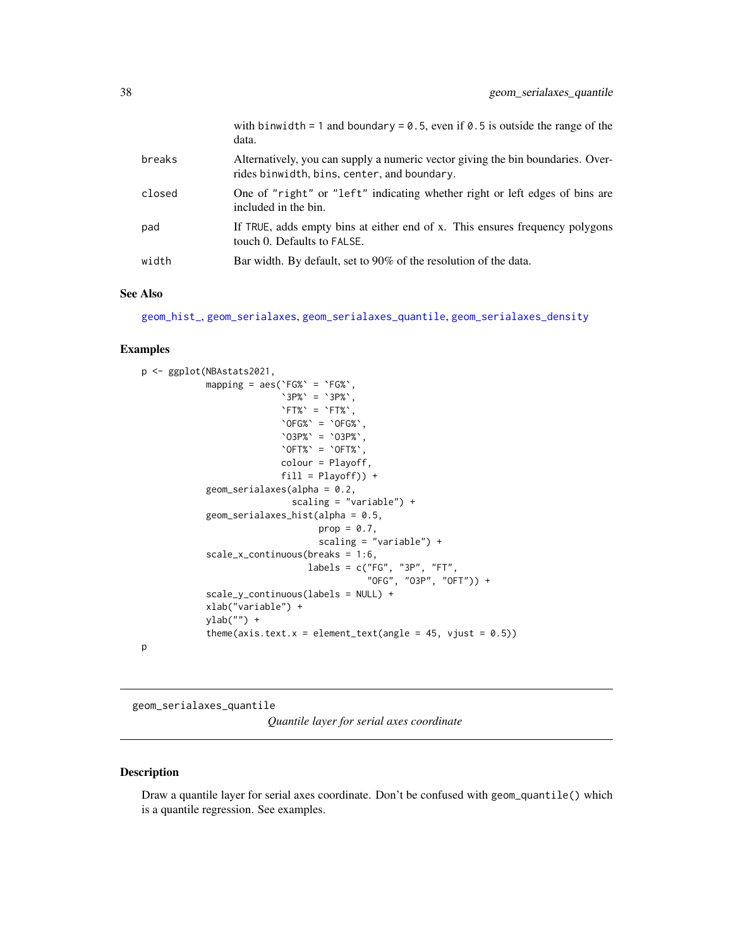<span id="page-37-0"></span>

|        | with binwidth = 1 and boundary = $0.5$ , even if $0.5$ is outside the range of the<br>data.                                    |
|--------|--------------------------------------------------------------------------------------------------------------------------------|
| breaks | Alternatively, you can supply a numeric vector giving the bin boundaries. Over-<br>rides binwidth, bins, center, and boundary. |
| closed | One of "right" or "left" indicating whether right or left edges of bins are<br>included in the bin.                            |
| pad    | If TRUE, adds empty bins at either end of x. This ensures frequency polygons<br>touch 0. Defaults to FALSE.                    |
| width  | Bar width. By default, set to 90% of the resolution of the data.                                                               |

#### See Also

[geom\\_hist\\_](#page-11-1), [geom\\_serialaxes](#page-24-1), [geom\\_serialaxes\\_quantile](#page-37-1), [geom\\_serialaxes\\_density](#page-28-1)

### Examples

```
p <- ggplot(NBAstats2021,
              mapping = \text{aes}('FG%') = 'FG%','3P\%' = '3P\%',
                                'FT\%<sup>'</sup> = 'FT\%<sup>'</sup>.
                                \text{`OFG\%`} = \text{`OFG\%`},
                                `O3P%` = `O3P%`,
                                \text{^{\circ} OFT%\text{^{\circ}} = \text{^{\circ}} OFT%\text{^{\circ}},
                                colour = Playoff,
                                fill = Playoff)) +
              geom\_serialaxes(alpha = 0.2,scaling = "variable") +
              geom_serialaxes_hist(alpha = 0.5,
                                        prop = 0.7,
                                        scaling = "variable") +
              scale_x_continuous(breaks = 1:6,
                                      labels = c("FG", "3P", "FT",
                                                    "OFG", "O3P", "OFT")) +
              scale_y_continuous(labels = NULL) +
              xlab("variable") +
              ylab("") +
              theme(axis.text.x = element_text(angle = 45, vjust = (0.5))
p
```
<span id="page-37-1"></span>geom\_serialaxes\_quantile

*Quantile layer for serial axes coordinate*

#### Description

Draw a quantile layer for serial axes coordinate. Don't be confused with geom\_quantile() which is a quantile regression. See examples.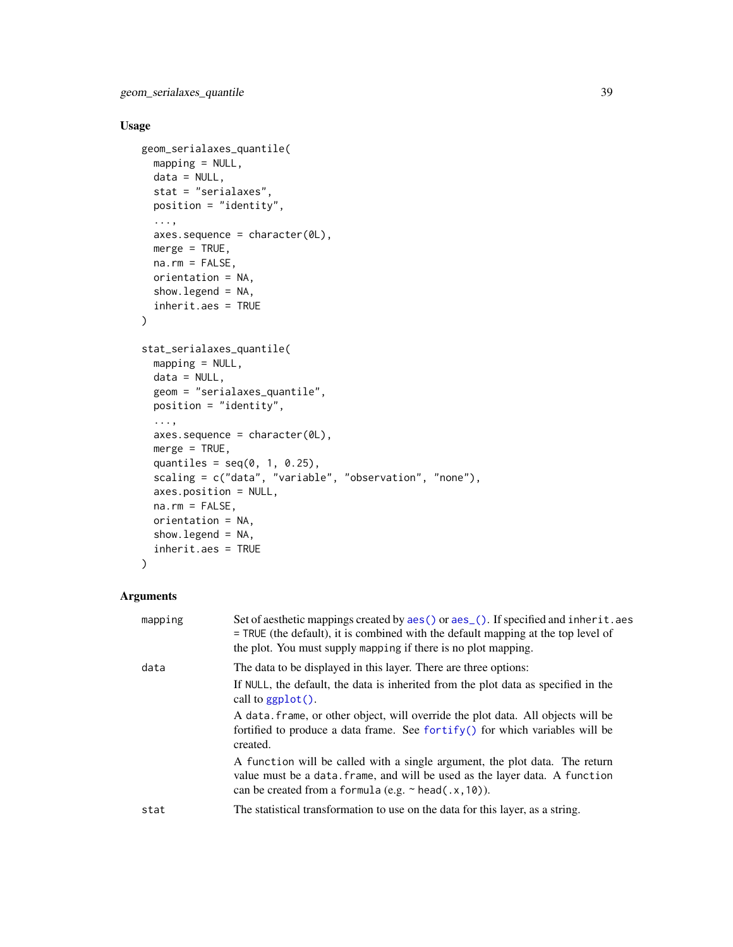## <span id="page-38-0"></span>Usage

```
geom_serialaxes_quantile(
 mapping = NULL,
 data = NULL,stat = "serialaxes",
 position = "identity",
  ...,
 axes.sequence = character(0L),
 merge = TRUE,na.rm = FALSE,
 orientation = NA,
  show.legend = NA,
  inherit.aes = TRUE
\mathcal{L}stat_serialaxes_quantile(
 mapping = NULL,
 data = NULL,
  geom = "serialaxes_quantile",
 position = "identity",
  ...,
  axes.sequence = character(0L),
 merge = TRUE,quantiles = seq(0, 1, 0.25),
  scaling = c("data", "variable", "observation", "none"),
  axes.position = NULL,
 na.rm = FALSE,
 orientation = NA,
  show.legend = NA,
  inherit.aes = TRUE
)
```
## Arguments

| mapping | Set of aesthetic mappings created by aes () or aes (). If specified and inherit. aes<br>$=$ TRUE (the default), it is combined with the default mapping at the top level of<br>the plot. You must supply mapping if there is no plot mapping. |
|---------|-----------------------------------------------------------------------------------------------------------------------------------------------------------------------------------------------------------------------------------------------|
| data    | The data to be displayed in this layer. There are three options:<br>If NULL, the default, the data is inherited from the plot data as specified in the<br>call to $ggplot()$ .                                                                |
|         | A data, frame, or other object, will override the plot data. All objects will be<br>fortified to produce a data frame. See fortify() for which variables will be<br>created.                                                                  |
|         | A function will be called with a single argument, the plot data. The return<br>value must be a data. frame, and will be used as the layer data. A function<br>can be created from a formula (e.g. $\sim$ head(.x, 10)).                       |
| stat    | The statistical transformation to use on the data for this layer, as a string.                                                                                                                                                                |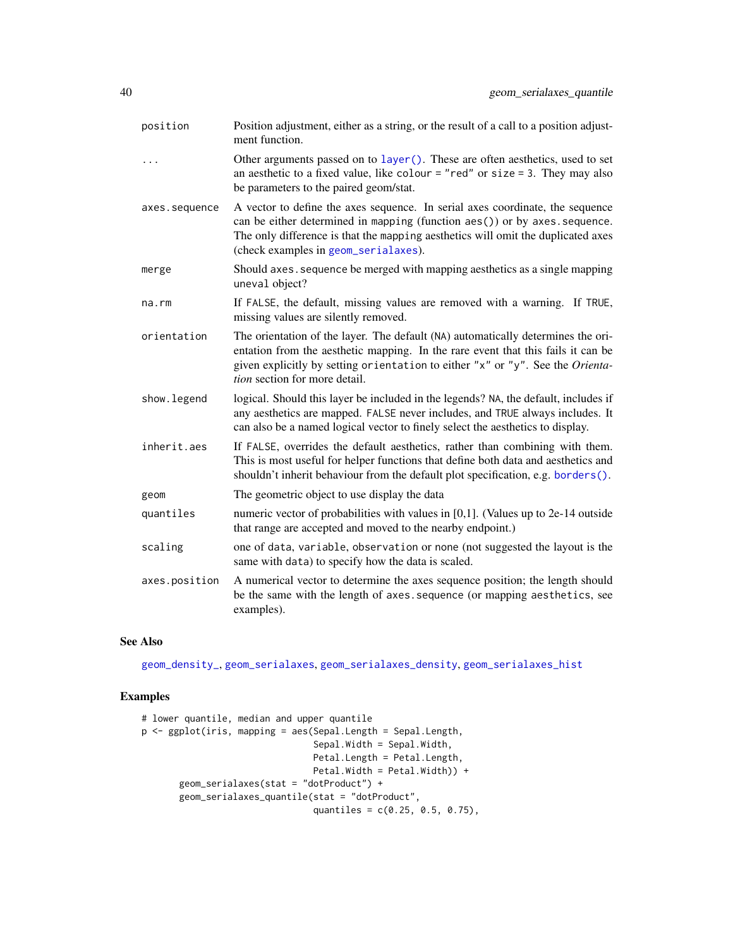<span id="page-39-0"></span>

| position      | Position adjustment, either as a string, or the result of a call to a position adjust-<br>ment function.                                                                                                                                                                                |
|---------------|-----------------------------------------------------------------------------------------------------------------------------------------------------------------------------------------------------------------------------------------------------------------------------------------|
|               | Other arguments passed on to layer (). These are often aesthetics, used to set<br>an aesthetic to a fixed value, like colour = "red" or size = 3. They may also<br>be parameters to the paired geom/stat.                                                                               |
| axes.sequence | A vector to define the axes sequence. In serial axes coordinate, the sequence<br>can be either determined in mapping (function aes()) or by axes. sequence.<br>The only difference is that the mapping aesthetics will omit the duplicated axes<br>(check examples in geom_serialaxes). |
| merge         | Should axes sequence be merged with mapping aesthetics as a single mapping<br>uneval object?                                                                                                                                                                                            |
| na.rm         | If FALSE, the default, missing values are removed with a warning. If TRUE,<br>missing values are silently removed.                                                                                                                                                                      |
| orientation   | The orientation of the layer. The default (NA) automatically determines the ori-<br>entation from the aesthetic mapping. In the rare event that this fails it can be<br>given explicitly by setting orientation to either "x" or "y". See the Orienta-<br>tion section for more detail. |
| show.legend   | logical. Should this layer be included in the legends? NA, the default, includes if<br>any aesthetics are mapped. FALSE never includes, and TRUE always includes. It<br>can also be a named logical vector to finely select the aesthetics to display.                                  |
| inherit.aes   | If FALSE, overrides the default aesthetics, rather than combining with them.<br>This is most useful for helper functions that define both data and aesthetics and<br>shouldn't inherit behaviour from the default plot specification, e.g. borders().                                   |
| geom          | The geometric object to use display the data                                                                                                                                                                                                                                            |
| quantiles     | numeric vector of probabilities with values in $[0,1]$ . (Values up to 2e-14 outside<br>that range are accepted and moved to the nearby endpoint.)                                                                                                                                      |
| scaling       | one of data, variable, observation or none (not suggested the layout is the<br>same with data) to specify how the data is scaled.                                                                                                                                                       |
| axes.position | A numerical vector to determine the axes sequence position; the length should<br>be the same with the length of axes. sequence (or mapping aesthetics, see<br>examples).                                                                                                                |

#### See Also

[geom\\_density\\_](#page-7-1), [geom\\_serialaxes](#page-24-1), [geom\\_serialaxes\\_density](#page-28-1), [geom\\_serialaxes\\_hist](#page-34-1)

```
# lower quantile, median and upper quantile
p <- ggplot(iris, mapping = aes(Sepal.Length = Sepal.Length,
                               Sepal.Width = Sepal.Width,
                               Petal.Length = Petal.Length,
                               Petal.Width = Petal.Width)) +
       geom_serialaxes(stat = "dotProduct") +
       geom_serialaxes_quantile(stat = "dotProduct",
                                quantiles = c(0.25, 0.5, 0.75),
```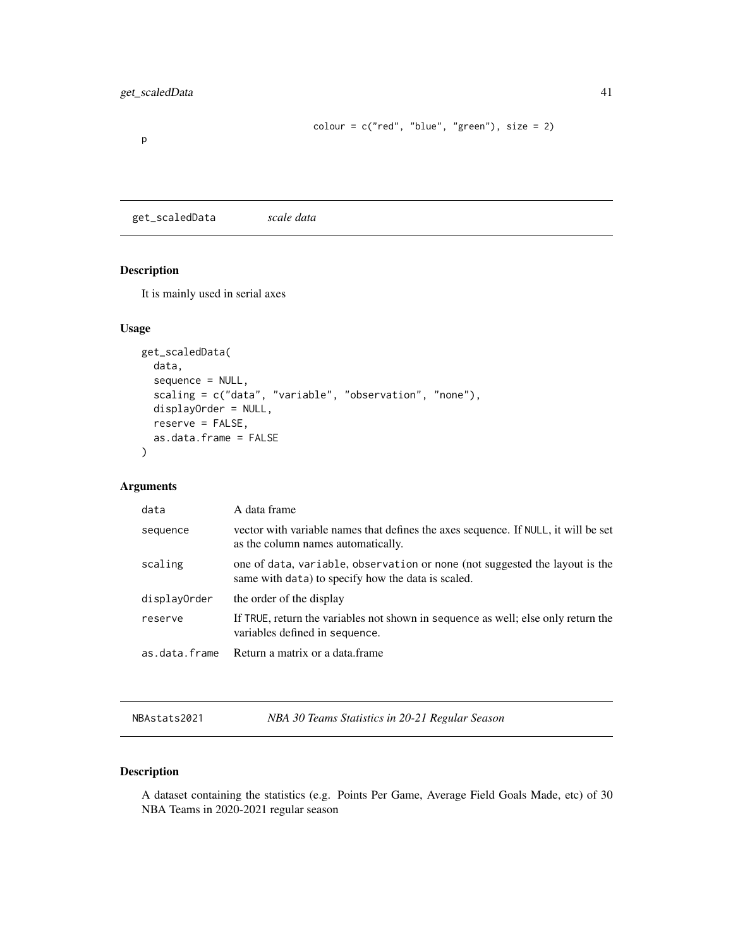```
color = c("red", "blue", "green"), size = 2)
```
<span id="page-40-0"></span>p

get\_scaledData *scale data*

## Description

It is mainly used in serial axes

## Usage

```
get_scaledData(
  data,
  sequence = NULL,
  scaling = c("data", "variable", "observation", "none"),
 displayOrder = NULL,
  reserve = FALSE,
 as.data.frame = FALSE
\mathcal{L}
```
## Arguments

| data          | A data frame                                                                                                                      |
|---------------|-----------------------------------------------------------------------------------------------------------------------------------|
| sequence      | vector with variable names that defines the axes sequence. If NULL, it will be set<br>as the column names automatically.          |
| scaling       | one of data, variable, observation or none (not suggested the layout is the<br>same with data) to specify how the data is scaled. |
| displayOrder  | the order of the display                                                                                                          |
| reserve       | If TRUE, return the variables not shown in sequence as well; else only return the<br>variables defined in sequence.               |
| as.data.frame | Return a matrix or a data frame                                                                                                   |

NBAstats2021 *NBA 30 Teams Statistics in 20-21 Regular Season*

#### Description

A dataset containing the statistics (e.g. Points Per Game, Average Field Goals Made, etc) of 30 NBA Teams in 2020-2021 regular season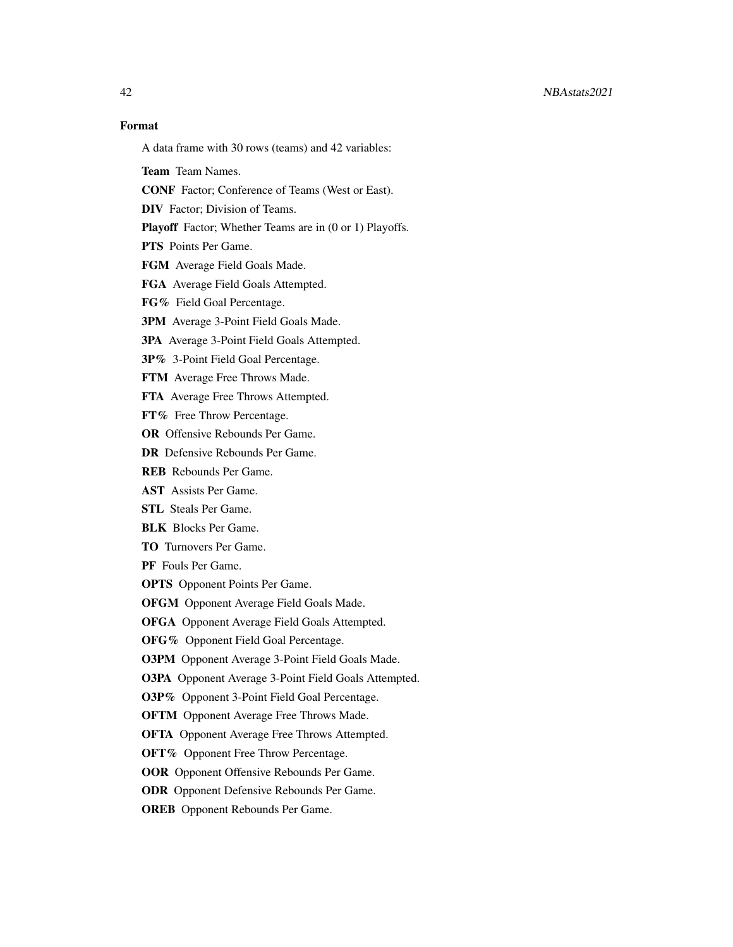## Format

A data frame with 30 rows (teams) and 42 variables:

Team Team Names.

CONF Factor; Conference of Teams (West or East).

DIV Factor; Division of Teams.

Playoff Factor; Whether Teams are in (0 or 1) Playoffs.

PTS Points Per Game.

FGM Average Field Goals Made.

FGA Average Field Goals Attempted.

FG% Field Goal Percentage.

3PM Average 3-Point Field Goals Made.

3PA Average 3-Point Field Goals Attempted.

3P% 3-Point Field Goal Percentage.

FTM Average Free Throws Made.

FTA Average Free Throws Attempted.

FT% Free Throw Percentage.

OR Offensive Rebounds Per Game.

DR Defensive Rebounds Per Game.

REB Rebounds Per Game.

AST Assists Per Game.

STL Steals Per Game.

BLK Blocks Per Game.

TO Turnovers Per Game.

PF Fouls Per Game.

OPTS Opponent Points Per Game.

OFGM Opponent Average Field Goals Made.

OFGA Opponent Average Field Goals Attempted.

OFG% Opponent Field Goal Percentage.

O3PM Opponent Average 3-Point Field Goals Made.

O3PA Opponent Average 3-Point Field Goals Attempted.

O3P% Opponent 3-Point Field Goal Percentage.

OFTM Opponent Average Free Throws Made.

OFTA Opponent Average Free Throws Attempted.

OFT% Opponent Free Throw Percentage.

**OOR** Opponent Offensive Rebounds Per Game.

ODR Opponent Defensive Rebounds Per Game.

OREB Opponent Rebounds Per Game.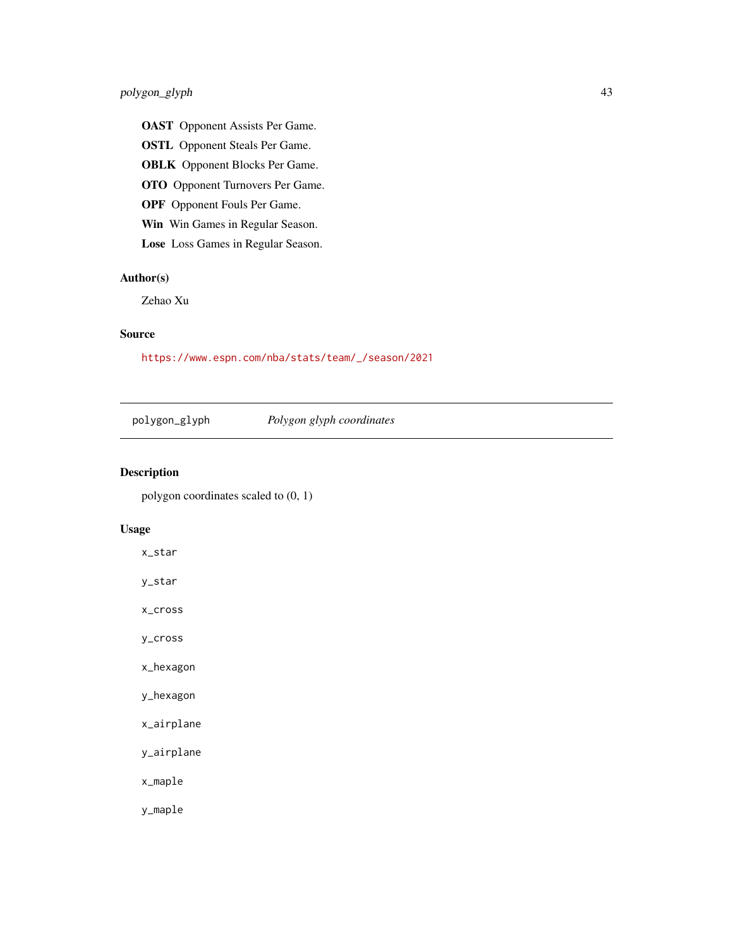<span id="page-42-0"></span>OAST Opponent Assists Per Game.

OSTL Opponent Steals Per Game.

OBLK Opponent Blocks Per Game.

OTO Opponent Turnovers Per Game.

OPF Opponent Fouls Per Game.

Win Win Games in Regular Season.

Lose Loss Games in Regular Season.

#### Author(s)

Zehao Xu

## Source

[https://www.espn.com/nba/stats/team/\\_/season/2021](https://www.espn.com/nba/stats/team/_/season/2021)

<span id="page-42-1"></span>

|--|

## Description

polygon coordinates scaled to (0, 1)

### Usage

x\_star

y\_star

x\_cross

y\_cross

x\_hexagon

y\_hexagon

x\_airplane

y\_airplane

x\_maple

y\_maple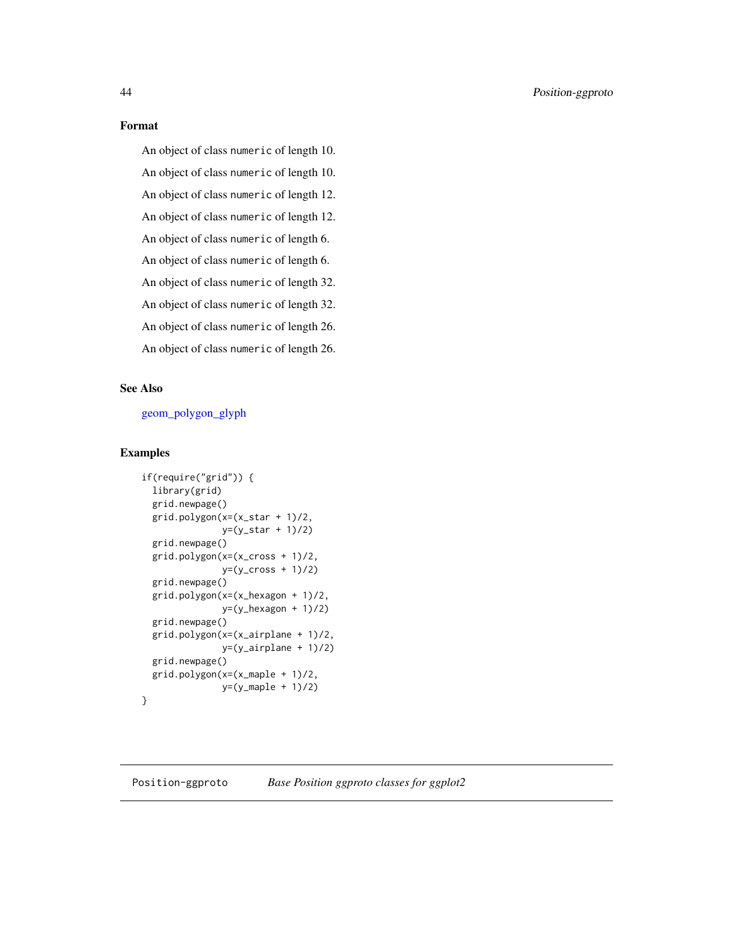#### <span id="page-43-0"></span>Format

An object of class numeric of length 10. An object of class numeric of length 10. An object of class numeric of length 12. An object of class numeric of length 12. An object of class numeric of length 6. An object of class numeric of length 6. An object of class numeric of length 32. An object of class numeric of length 32. An object of class numeric of length 26. An object of class numeric of length 26.

## See Also

[geom\\_polygon\\_glyph](#page-20-1)

```
if(require("grid")) {
 library(grid)
 grid.newpage()
 grid.polygon(x=(x_star + 1)/2,
               y=(y_star + 1)/2)
 grid.newpage()
 grid.polygon(x=(x_cross + 1)/2,
               y=(y_cross + 1)/2)
 grid.newpage()
 grid.polygon(x=(x_hexagon + 1)/2,
               y=(y_{\text{hexagon}} + 1)/2)grid.newpage()
 grid.polygon(x=(x_airplane + 1)/2,
               y=(y_airplane + 1)/2)
 grid.newpage()
 grid.polygon(x=(x_maple + 1)/2,
               y=(y_{map}le + 1)/2)}
```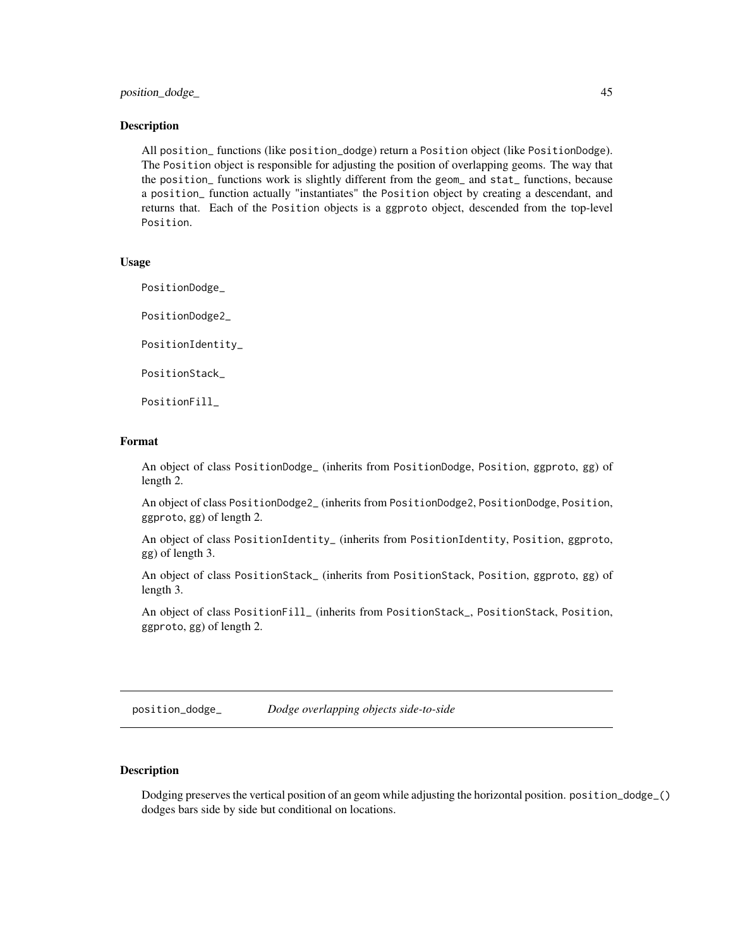## <span id="page-44-0"></span>position\_dodge\_ 45

#### Description

All position\_ functions (like position\_dodge) return a Position object (like PositionDodge). The Position object is responsible for adjusting the position of overlapping geoms. The way that the position\_ functions work is slightly different from the geom\_ and stat\_ functions, because a position\_ function actually "instantiates" the Position object by creating a descendant, and returns that. Each of the Position objects is a ggproto object, descended from the top-level Position.

### Usage

PositionDodge\_

PositionDodge2\_

PositionIdentity\_

PositionStack\_

PositionFill\_

#### Format

An object of class PositionDodge\_ (inherits from PositionDodge, Position, ggproto, gg) of length 2.

An object of class PositionDodge2\_ (inherits from PositionDodge2, PositionDodge, Position, ggproto, gg) of length 2.

An object of class PositionIdentity\_ (inherits from PositionIdentity, Position, ggproto, gg) of length 3.

An object of class PositionStack\_ (inherits from PositionStack, Position, ggproto, gg) of length 3.

An object of class PositionFill\_ (inherits from PositionStack\_, PositionStack, Position, ggproto, gg) of length 2.

<span id="page-44-1"></span>position\_dodge\_ *Dodge overlapping objects side-to-side*

#### <span id="page-44-2"></span>Description

Dodging preserves the vertical position of an geom while adjusting the horizontal position. position\_dodge\_() dodges bars side by side but conditional on locations.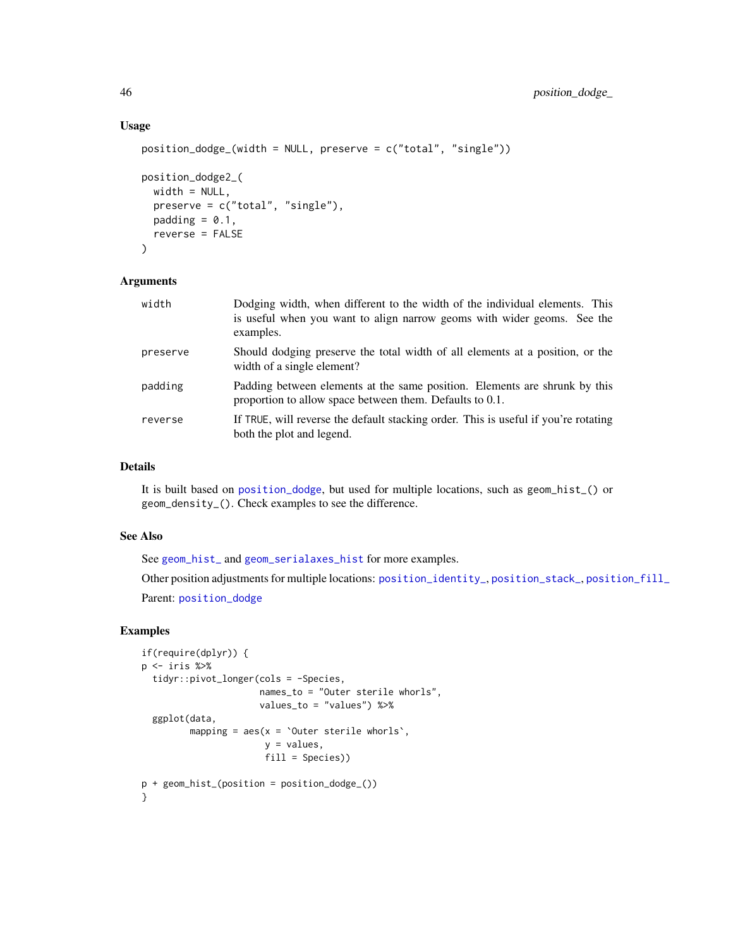#### Usage

```
position_dodge_(width = NULL, preserve = c("total", "single"))
position_dodge2_(
 width = NULL,
 preserve = c("total", "single"),
 padding = 0.1,
 reverse = FALSE
\lambda
```
#### Arguments

| width    | Dodging width, when different to the width of the individual elements. This<br>is useful when you want to align narrow geoms with wider geoms. See the<br>examples. |
|----------|---------------------------------------------------------------------------------------------------------------------------------------------------------------------|
| preserve | Should dodging preserve the total width of all elements at a position, or the<br>width of a single element?                                                         |
| padding  | Padding between elements at the same position. Elements are shrunk by this<br>proportion to allow space between them. Defaults to 0.1.                              |
| reverse  | If TRUE, will reverse the default stacking order. This is useful if you're rotating<br>both the plot and legend.                                                    |

## Details

It is built based on [position\\_dodge](#page-0-0), but used for multiple locations, such as geom\_hist\_() or geom\_density\_(). Check examples to see the difference.

#### See Also

See [geom\\_hist\\_](#page-11-1) and [geom\\_serialaxes\\_hist](#page-34-1) for more examples.

Other position adjustments for multiple locations: [position\\_identity\\_](#page-46-1), [position\\_stack\\_](#page-46-2), [position\\_fill\\_](#page-46-3)

Parent: [position\\_dodge](#page-0-0)

```
if(require(dplyr)) {
p <- iris %>%
 tidyr::pivot_longer(cols = -Species,
                     names_to = "Outer sterile whorls",
                     values_to = "values") %>%
 ggplot(data,
        mapping = aes(x = 'Outer sterile whorls',y = values,
                      fill = Species))
p + geom_hist_(position = position_dodge_())
}
```
<span id="page-45-0"></span>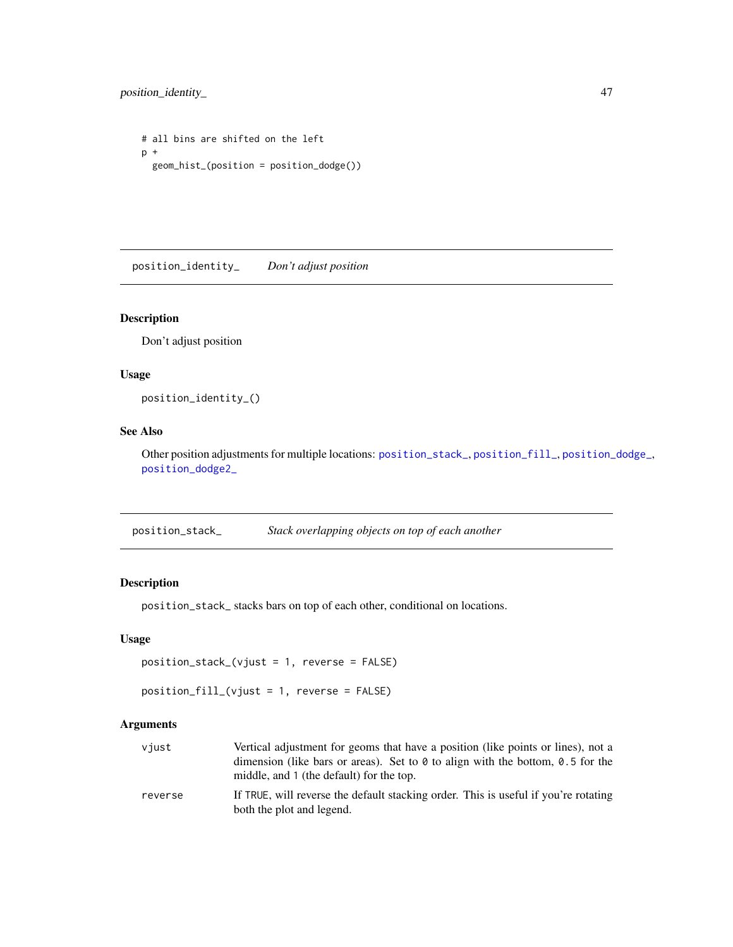<span id="page-46-0"></span>position\_identity\_ 47

```
# all bins are shifted on the left
p +
  geom_hist_(position = position_dodge())
```
<span id="page-46-1"></span>position\_identity\_ *Don't adjust position*

#### Description

Don't adjust position

## Usage

position\_identity\_()

## See Also

Other position adjustments for multiple locations: [position\\_stack\\_](#page-46-2), [position\\_fill\\_](#page-46-3), [position\\_dodge\\_](#page-44-1), [position\\_dodge2\\_](#page-44-2)

<span id="page-46-2"></span>position\_stack\_ *Stack overlapping objects on top of each another*

## <span id="page-46-3"></span>Description

position\_stack\_ stacks bars on top of each other, conditional on locations.

#### Usage

```
position_stack_(vjust = 1, reverse = FALSE)
```

```
position_fill_(vjust = 1, reverse = FALSE)
```
#### Arguments

| viust   | Vertical adjustment for geoms that have a position (like points or lines), not a<br>dimension (like bars or areas). Set to $\theta$ to align with the bottom, 0.5 for the<br>middle, and 1 (the default) for the top. |
|---------|-----------------------------------------------------------------------------------------------------------------------------------------------------------------------------------------------------------------------|
| reverse | If TRUE, will reverse the default stacking order. This is useful if you're rotating<br>both the plot and legend.                                                                                                      |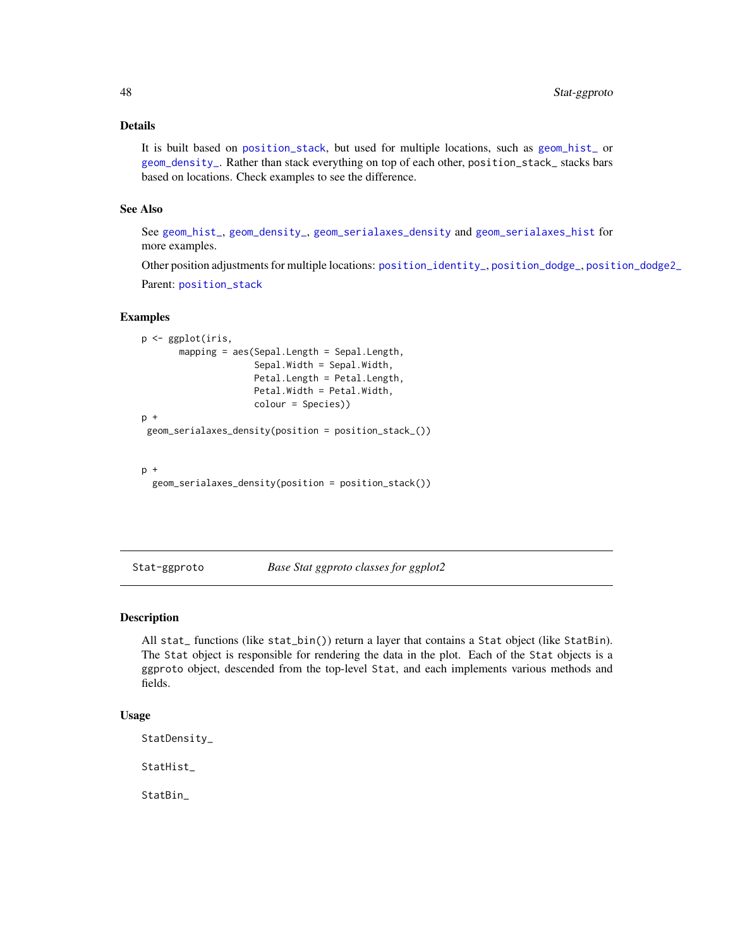#### <span id="page-47-0"></span>Details

It is built based on [position\\_stack](#page-0-0), but used for multiple locations, such as [geom\\_hist\\_](#page-11-1) or [geom\\_density\\_](#page-7-1). Rather than stack everything on top of each other, position\_stack\_ stacks bars based on locations. Check examples to see the difference.

## See Also

See [geom\\_hist\\_](#page-11-1), [geom\\_density\\_](#page-7-1), [geom\\_serialaxes\\_density](#page-28-1) and [geom\\_serialaxes\\_hist](#page-34-1) for more examples.

Other position adjustments for multiple locations: [position\\_identity\\_](#page-46-1), [position\\_dodge\\_](#page-44-1), [position\\_dodge2\\_](#page-44-2)

Parent: [position\\_stack](#page-0-0)

#### Examples

```
p <- ggplot(iris,
      mapping = aes(Sepal.Length = Sepal.Length,
                     Sepal.Width = Sepal.Width,
                     Petal.Length = Petal.Length,
                     Petal.Width = Petal.Width,
                     colour = Species))
p +geom_serialaxes_density(position = position_stack_())
```

```
p +geom_serialaxes_density(position = position_stack())
```
Stat-ggproto *Base Stat ggproto classes for ggplot2*

### **Description**

All stat\_ functions (like stat\_bin()) return a layer that contains a Stat object (like StatBin). The Stat object is responsible for rendering the data in the plot. Each of the Stat objects is a ggproto object, descended from the top-level Stat, and each implements various methods and fields.

#### Usage

StatDensity\_

StatHist\_

StatBin\_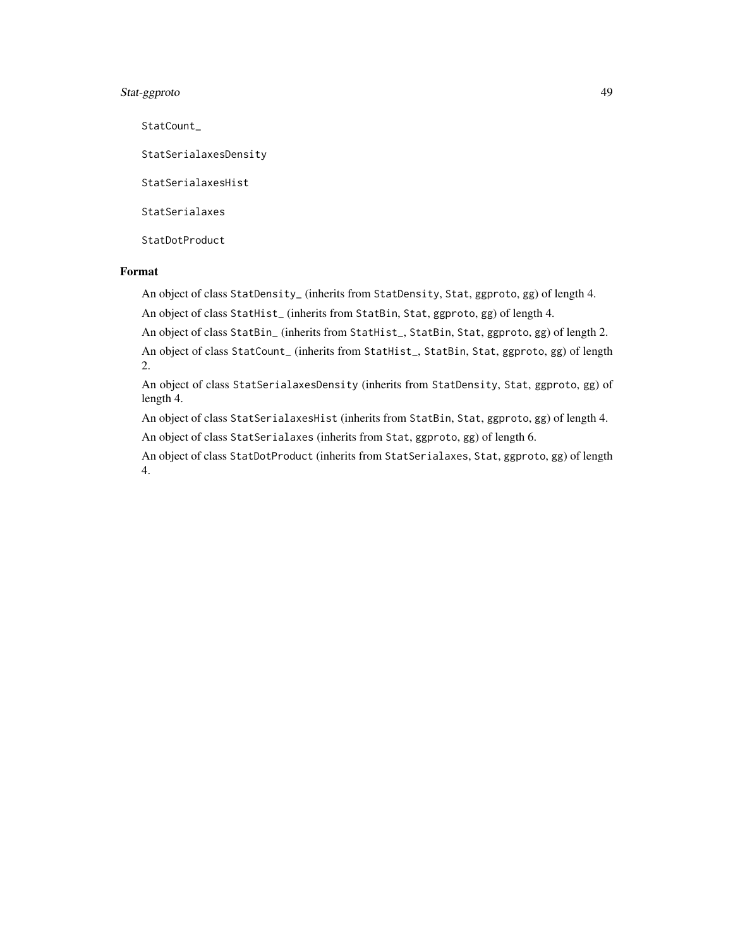## Stat-ggproto 49

StatCount\_

StatSerialaxesDensity

StatSerialaxesHist

StatSerialaxes

**StatDotProduct** 

#### Format

An object of class StatDensity\_ (inherits from StatDensity, Stat, ggproto, gg) of length 4. An object of class StatHist\_ (inherits from StatBin, Stat, ggproto, gg) of length 4.

An object of class StatBin\_ (inherits from StatHist\_, StatBin, Stat, ggproto, gg) of length 2. An object of class StatCount\_ (inherits from StatHist\_, StatBin, Stat, ggproto, gg) of length 2.

An object of class StatSerialaxesDensity (inherits from StatDensity, Stat, ggproto, gg) of length 4.

An object of class StatSerialaxesHist (inherits from StatBin, Stat, ggproto, gg) of length 4. An object of class StatSerialaxes (inherits from Stat, ggproto, gg) of length 6.

An object of class StatDotProduct (inherits from StatSerialaxes, Stat, ggproto, gg) of length 4.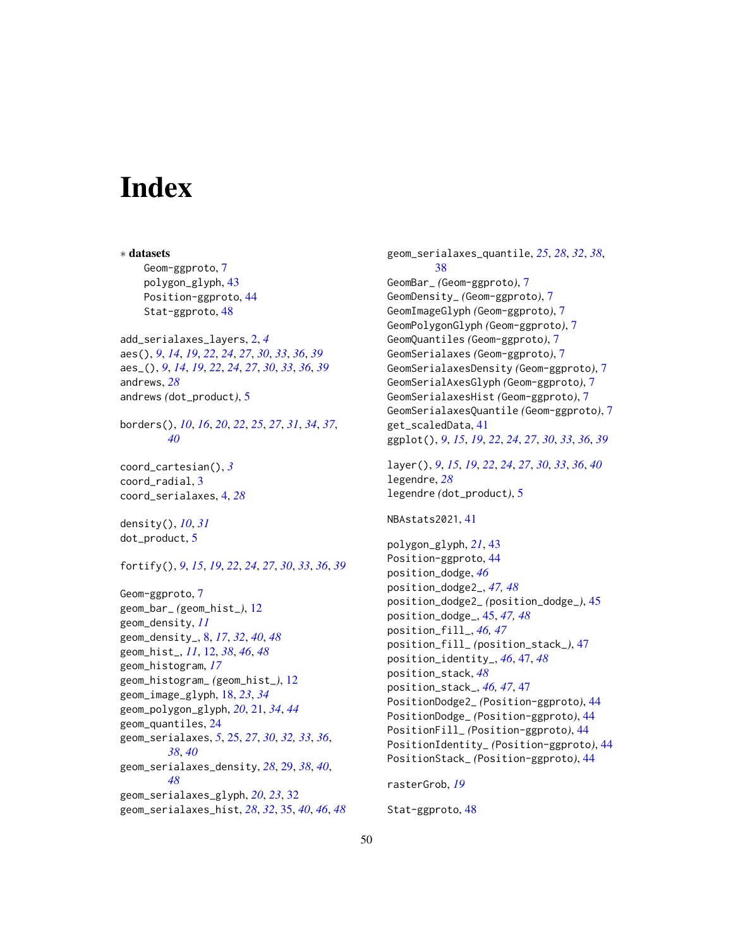# <span id="page-49-0"></span>**Index**

∗ datasets Geom-ggproto, [7](#page-6-0) polygon\_glyph, [43](#page-42-0) Position-ggproto, [44](#page-43-0) Stat-ggproto, [48](#page-47-0) add\_serialaxes\_layers, [2,](#page-1-0) *[4](#page-3-0)* aes(), *[9](#page-8-0)*, *[14](#page-13-0)*, *[19](#page-18-0)*, *[22](#page-21-0)*, *[24](#page-23-0)*, *[27](#page-26-0)*, *[30](#page-29-0)*, *[33](#page-32-0)*, *[36](#page-35-0)*, *[39](#page-38-0)* aes\_(), *[9](#page-8-0)*, *[14](#page-13-0)*, *[19](#page-18-0)*, *[22](#page-21-0)*, *[24](#page-23-0)*, *[27](#page-26-0)*, *[30](#page-29-0)*, *[33](#page-32-0)*, *[36](#page-35-0)*, *[39](#page-38-0)* andrews, *[28](#page-27-0)* andrews *(*dot\_product*)*, [5](#page-4-0) borders(), *[10](#page-9-0)*, *[16](#page-15-0)*, *[20](#page-19-0)*, *[22](#page-21-0)*, *[25](#page-24-0)*, *[27](#page-26-0)*, *[31](#page-30-0)*, *[34](#page-33-0)*, *[37](#page-36-0)*, *[40](#page-39-0)* coord\_cartesian(), *[3](#page-2-0)* coord\_radial, [3](#page-2-0) coord\_serialaxes, [4,](#page-3-0) *[28](#page-27-0)* density(), *[10](#page-9-0)*, *[31](#page-30-0)* dot\_product, [5](#page-4-0) fortify(), *[9](#page-8-0)*, *[15](#page-14-0)*, *[19](#page-18-0)*, *[22](#page-21-0)*, *[24](#page-23-0)*, *[27](#page-26-0)*, *[30](#page-29-0)*, *[33](#page-32-0)*, *[36](#page-35-0)*, *[39](#page-38-0)* Geom-ggproto, [7](#page-6-0) geom\_bar\_ *(*geom\_hist\_*)*, [12](#page-11-0) geom\_density, *[11](#page-10-0)* geom\_density\_, [8,](#page-7-0) *[17](#page-16-0)*, *[32](#page-31-0)*, *[40](#page-39-0)*, *[48](#page-47-0)* geom\_hist\_, *[11](#page-10-0)*, [12,](#page-11-0) *[38](#page-37-0)*, *[46](#page-45-0)*, *[48](#page-47-0)* geom\_histogram, *[17](#page-16-0)* geom\_histogram\_ *(*geom\_hist\_*)*, [12](#page-11-0) geom\_image\_glyph, [18,](#page-17-0) *[23](#page-22-0)*, *[34](#page-33-0)* geom\_polygon\_glyph, *[20](#page-19-0)*, [21,](#page-20-0) *[34](#page-33-0)*, *[44](#page-43-0)* geom\_quantiles, [24](#page-23-0) geom\_serialaxes, *[5](#page-4-0)*, [25,](#page-24-0) *[27](#page-26-0)*, *[30](#page-29-0)*, *[32,](#page-31-0) [33](#page-32-0)*, *[36](#page-35-0)*, *[38](#page-37-0)*, *[40](#page-39-0)* geom\_serialaxes\_density, *[28](#page-27-0)*, [29,](#page-28-0) *[38](#page-37-0)*, *[40](#page-39-0)*, *[48](#page-47-0)* geom\_serialaxes\_glyph, *[20](#page-19-0)*, *[23](#page-22-0)*, [32](#page-31-0) geom\_serialaxes\_hist, *[28](#page-27-0)*, *[32](#page-31-0)*, [35,](#page-34-0) *[40](#page-39-0)*, *[46](#page-45-0)*, *[48](#page-47-0)*

geom\_serialaxes\_quantile, *[25](#page-24-0)*, *[28](#page-27-0)*, *[32](#page-31-0)*, *[38](#page-37-0)*, [38](#page-37-0) GeomBar\_ *(*Geom-ggproto*)*, [7](#page-6-0) GeomDensity\_ *(*Geom-ggproto*)*, [7](#page-6-0) GeomImageGlyph *(*Geom-ggproto*)*, [7](#page-6-0) GeomPolygonGlyph *(*Geom-ggproto*)*, [7](#page-6-0) GeomQuantiles *(*Geom-ggproto*)*, [7](#page-6-0) GeomSerialaxes *(*Geom-ggproto*)*, [7](#page-6-0) GeomSerialaxesDensity *(*Geom-ggproto*)*, [7](#page-6-0) GeomSerialAxesGlyph *(*Geom-ggproto*)*, [7](#page-6-0) GeomSerialaxesHist *(*Geom-ggproto*)*, [7](#page-6-0) GeomSerialaxesQuantile *(*Geom-ggproto*)*, [7](#page-6-0) get\_scaledData, [41](#page-40-0) ggplot(), *[9](#page-8-0)*, *[15](#page-14-0)*, *[19](#page-18-0)*, *[22](#page-21-0)*, *[24](#page-23-0)*, *[27](#page-26-0)*, *[30](#page-29-0)*, *[33](#page-32-0)*, *[36](#page-35-0)*, *[39](#page-38-0)* layer(), *[9](#page-8-0)*, *[15](#page-14-0)*, *[19](#page-18-0)*, *[22](#page-21-0)*, *[24](#page-23-0)*, *[27](#page-26-0)*, *[30](#page-29-0)*, *[33](#page-32-0)*, *[36](#page-35-0)*, *[40](#page-39-0)* legendre, *[28](#page-27-0)* legendre *(*dot\_product*)*, [5](#page-4-0) NBAstats2021, [41](#page-40-0) polygon\_glyph, *[21](#page-20-0)*, [43](#page-42-0) Position-ggproto, [44](#page-43-0) position\_dodge, *[46](#page-45-0)* position\_dodge2\_, *[47,](#page-46-0) [48](#page-47-0)* position\_dodge2\_ *(*position\_dodge\_*)*, [45](#page-44-0) position\_dodge\_, [45,](#page-44-0) *[47,](#page-46-0) [48](#page-47-0)* position\_fill\_, *[46,](#page-45-0) [47](#page-46-0)* position\_fill\_ *(*position\_stack\_*)*, [47](#page-46-0) position\_identity\_, *[46](#page-45-0)*, [47,](#page-46-0) *[48](#page-47-0)* position\_stack, *[48](#page-47-0)* position\_stack\_, *[46,](#page-45-0) [47](#page-46-0)*, [47](#page-46-0) PositionDodge2\_ *(*Position-ggproto*)*, [44](#page-43-0) PositionDodge\_ *(*Position-ggproto*)*, [44](#page-43-0) PositionFill\_ *(*Position-ggproto*)*, [44](#page-43-0) PositionIdentity\_ *(*Position-ggproto*)*, [44](#page-43-0) PositionStack\_ *(*Position-ggproto*)*, [44](#page-43-0)

rasterGrob, *[19](#page-18-0)*

Stat-ggproto, [48](#page-47-0)